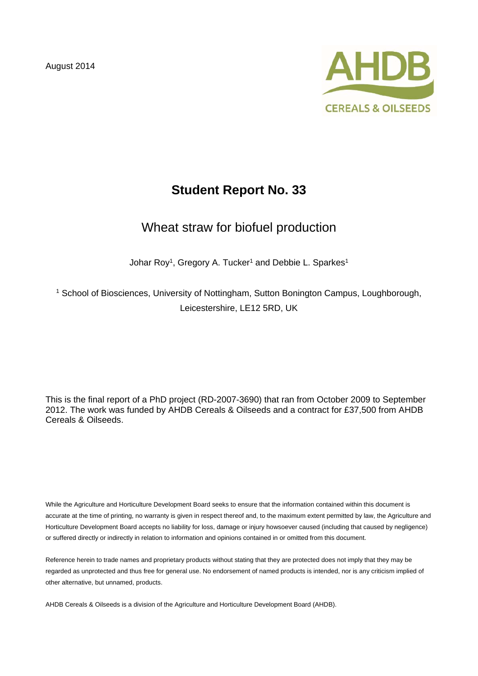August 2014



# **Student Report No. 33**

# Wheat straw for biofuel production

Johar Roy<sup>1</sup>, Gregory A. Tucker<sup>1</sup> and Debbie L. Sparkes<sup>1</sup>

<sup>1</sup> School of Biosciences, University of Nottingham, Sutton Bonington Campus, Loughborough, Leicestershire, LE12 5RD, UK

This is the final report of a PhD project (RD-2007-3690) that ran from October 2009 to September 2012. The work was funded by AHDB Cereals & Oilseeds and a contract for £37,500 from AHDB Cereals & Oilseeds.

While the Agriculture and Horticulture Development Board seeks to ensure that the information contained within this document is accurate at the time of printing, no warranty is given in respect thereof and, to the maximum extent permitted by law, the Agriculture and Horticulture Development Board accepts no liability for loss, damage or injury howsoever caused (including that caused by negligence) or suffered directly or indirectly in relation to information and opinions contained in or omitted from this document.

Reference herein to trade names and proprietary products without stating that they are protected does not imply that they may be regarded as unprotected and thus free for general use. No endorsement of named products is intended, nor is any criticism implied of other alternative, but unnamed, products.

AHDB Cereals & Oilseeds is a division of the Agriculture and Horticulture Development Board (AHDB).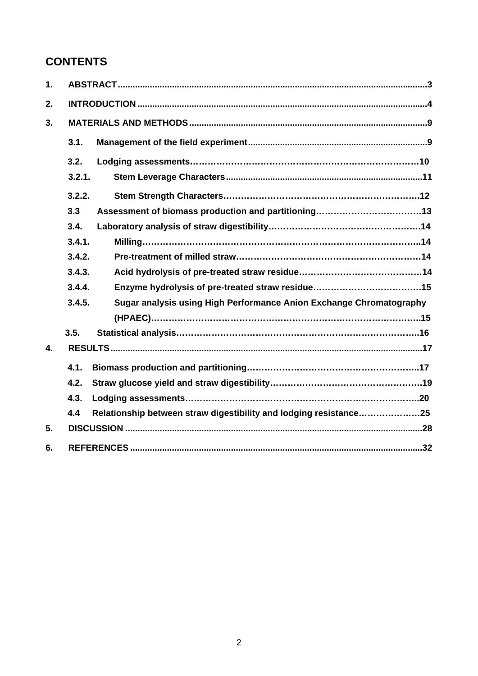# **CONTENTS**

| $\mathbf 1$ . |                                                                               |  |  |  |  |
|---------------|-------------------------------------------------------------------------------|--|--|--|--|
| 2.            |                                                                               |  |  |  |  |
| 3.            |                                                                               |  |  |  |  |
|               | 3.1.                                                                          |  |  |  |  |
|               | 3.2.                                                                          |  |  |  |  |
|               | 3.2.1.                                                                        |  |  |  |  |
|               | 3.2.2.                                                                        |  |  |  |  |
|               | 3.3                                                                           |  |  |  |  |
|               | 3.4.                                                                          |  |  |  |  |
|               | 3.4.1.                                                                        |  |  |  |  |
|               | 3.4.2.                                                                        |  |  |  |  |
|               | 3.4.3.                                                                        |  |  |  |  |
|               | 3.4.4.                                                                        |  |  |  |  |
|               | 3.4.5.<br>Sugar analysis using High Performance Anion Exchange Chromatography |  |  |  |  |
|               |                                                                               |  |  |  |  |
|               | 3.5.                                                                          |  |  |  |  |
| 4.            |                                                                               |  |  |  |  |
|               | 4.1.                                                                          |  |  |  |  |
|               | 4.2.                                                                          |  |  |  |  |
|               | 4.3.                                                                          |  |  |  |  |
|               | 4.4<br>Relationship between straw digestibility and lodging resistance25      |  |  |  |  |
| 5.            |                                                                               |  |  |  |  |
| 6.            |                                                                               |  |  |  |  |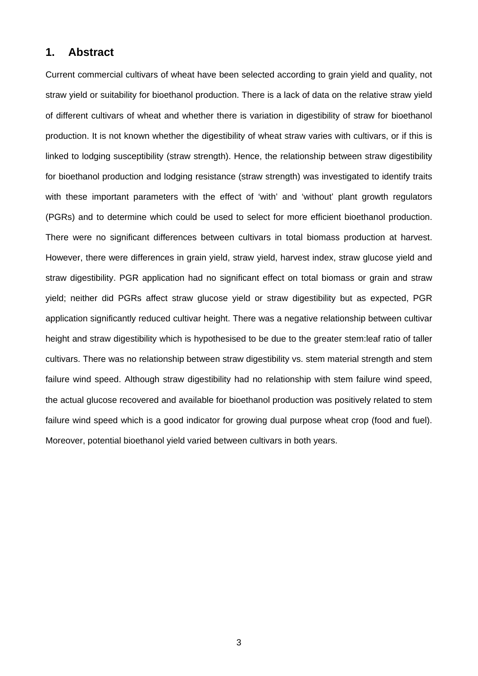## **1. Abstract**

Current commercial cultivars of wheat have been selected according to grain yield and quality, not straw yield or suitability for bioethanol production. There is a lack of data on the relative straw yield of different cultivars of wheat and whether there is variation in digestibility of straw for bioethanol production. It is not known whether the digestibility of wheat straw varies with cultivars, or if this is linked to lodging susceptibility (straw strength). Hence, the relationship between straw digestibility for bioethanol production and lodging resistance (straw strength) was investigated to identify traits with these important parameters with the effect of 'with' and 'without' plant growth regulators (PGRs) and to determine which could be used to select for more efficient bioethanol production. There were no significant differences between cultivars in total biomass production at harvest. However, there were differences in grain yield, straw yield, harvest index, straw glucose yield and straw digestibility. PGR application had no significant effect on total biomass or grain and straw yield; neither did PGRs affect straw glucose yield or straw digestibility but as expected, PGR application significantly reduced cultivar height. There was a negative relationship between cultivar height and straw digestibility which is hypothesised to be due to the greater stem:leaf ratio of taller cultivars. There was no relationship between straw digestibility vs. stem material strength and stem failure wind speed. Although straw digestibility had no relationship with stem failure wind speed, the actual glucose recovered and available for bioethanol production was positively related to stem failure wind speed which is a good indicator for growing dual purpose wheat crop (food and fuel). Moreover, potential bioethanol yield varied between cultivars in both years.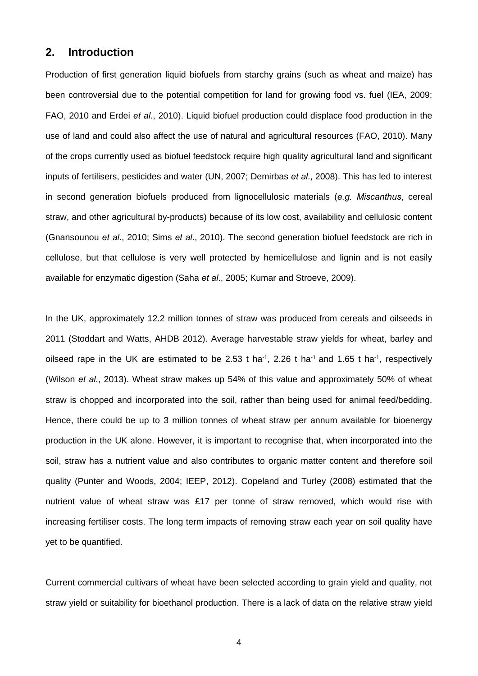# **2. Introduction**

Production of first generation liquid biofuels from starchy grains (such as wheat and maize) has been controversial due to the potential competition for land for growing food vs. fuel (IEA, 2009; FAO, 2010 and Erdei *et al*., 2010). Liquid biofuel production could displace food production in the use of land and could also affect the use of natural and agricultural resources (FAO, 2010). Many of the crops currently used as biofuel feedstock require high quality agricultural land and significant inputs of fertilisers, pesticides and water (UN, 2007; Demirbas *et al*., 2008). This has led to interest in second generation biofuels produced from lignocellulosic materials (*e.g. Miscanthus*, cereal straw, and other agricultural by-products) because of its low cost, availability and cellulosic content (Gnansounou *et al*., 2010; Sims *et al*., 2010). The second generation biofuel feedstock are rich in cellulose, but that cellulose is very well protected by hemicellulose and lignin and is not easily available for enzymatic digestion (Saha *et al*., 2005; Kumar and Stroeve, 2009).

In the UK, approximately 12.2 million tonnes of straw was produced from cereals and oilseeds in 2011 (Stoddart and Watts, AHDB 2012). Average harvestable straw yields for wheat, barley and oilseed rape in the UK are estimated to be 2.53 t ha<sup>-1</sup>, 2.26 t ha<sup>-1</sup> and 1.65 t ha<sup>-1</sup>, respectively (Wilson *et al*., 2013). Wheat straw makes up 54% of this value and approximately 50% of wheat straw is chopped and incorporated into the soil, rather than being used for animal feed/bedding. Hence, there could be up to 3 million tonnes of wheat straw per annum available for bioenergy production in the UK alone. However, it is important to recognise that, when incorporated into the soil, straw has a nutrient value and also contributes to organic matter content and therefore soil quality (Punter and Woods, 2004; IEEP, 2012). Copeland and Turley (2008) estimated that the nutrient value of wheat straw was £17 per tonne of straw removed, which would rise with increasing fertiliser costs. The long term impacts of removing straw each year on soil quality have yet to be quantified.

Current commercial cultivars of wheat have been selected according to grain yield and quality, not straw yield or suitability for bioethanol production. There is a lack of data on the relative straw yield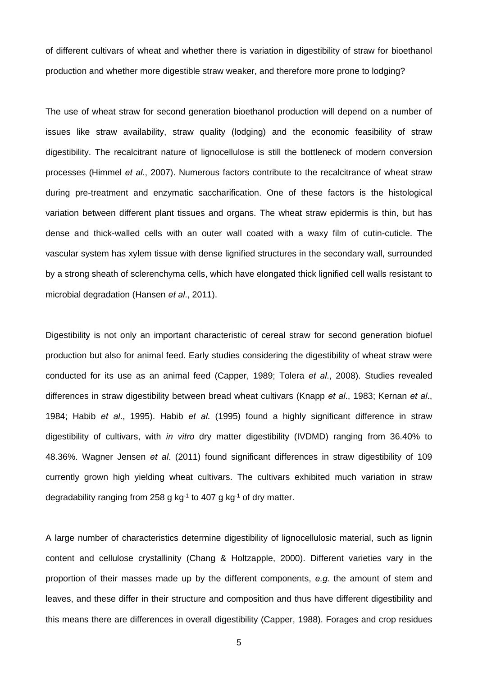of different cultivars of wheat and whether there is variation in digestibility of straw for bioethanol production and whether more digestible straw weaker, and therefore more prone to lodging?

The use of wheat straw for second generation bioethanol production will depend on a number of issues like straw availability, straw quality (lodging) and the economic feasibility of straw digestibility. The recalcitrant nature of lignocellulose is still the bottleneck of modern conversion processes (Himmel *et al*., 2007). Numerous factors contribute to the recalcitrance of wheat straw during pre-treatment and enzymatic saccharification. One of these factors is the histological variation between different plant tissues and organs. The wheat straw epidermis is thin, but has dense and thick-walled cells with an outer wall coated with a waxy film of cutin-cuticle. The vascular system has xylem tissue with dense lignified structures in the secondary wall, surrounded by a strong sheath of sclerenchyma cells, which have elongated thick lignified cell walls resistant to microbial degradation (Hansen *et al*., 2011).

Digestibility is not only an important characteristic of cereal straw for second generation biofuel production but also for animal feed. Early studies considering the digestibility of wheat straw were conducted for its use as an animal feed (Capper, 1989; Tolera *et al*., 2008). Studies revealed differences in straw digestibility between bread wheat cultivars (Knapp *et al*., 1983; Kernan *et al*., 1984; Habib *et al*., 1995). Habib *et al*. (1995) found a highly significant difference in straw digestibility of cultivars, with *in vitro* dry matter digestibility (IVDMD) ranging from 36.40% to 48.36%. Wagner Jensen *et al*. (2011) found significant differences in straw digestibility of 109 currently grown high yielding wheat cultivars. The cultivars exhibited much variation in straw degradability ranging from 258 g kg<sup>-1</sup> to 407 g kg<sup>-1</sup> of dry matter.

A large number of characteristics determine digestibility of lignocellulosic material, such as lignin content and cellulose crystallinity (Chang & Holtzapple, 2000). Different varieties vary in the proportion of their masses made up by the different components, *e.g.* the amount of stem and leaves, and these differ in their structure and composition and thus have different digestibility and this means there are differences in overall digestibility (Capper, 1988). Forages and crop residues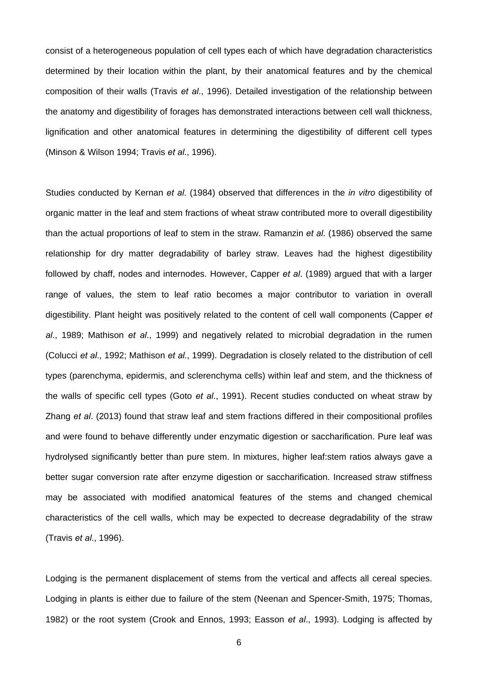consist of a heterogeneous population of cell types each of which have degradation characteristics determined by their location within the plant, by their anatomical features and by the chemical composition of their walls (Travis *et al*., 1996). Detailed investigation of the relationship between the anatomy and digestibility of forages has demonstrated interactions between cell wall thickness, lignification and other anatomical features in determining the digestibility of different cell types (Minson & Wilson 1994; Travis *et al*., 1996).

Studies conducted by Kernan *et al*. (1984) observed that differences in the *in vitro* digestibility of organic matter in the leaf and stem fractions of wheat straw contributed more to overall digestibility than the actual proportions of leaf to stem in the straw. Ramanzin *et al*. (1986) observed the same relationship for dry matter degradability of barley straw. Leaves had the highest digestibility followed by chaff, nodes and internodes. However, Capper *et al*. (1989) argued that with a larger range of values, the stem to leaf ratio becomes a major contributor to variation in overall digestibility. Plant height was positively related to the content of cell wall components (Capper *et al*., 1989; Mathison *et al*., 1999) and negatively related to microbial degradation in the rumen (Colucci *et al*., 1992; Mathison *et al*., 1999). Degradation is closely related to the distribution of cell types (parenchyma, epidermis, and sclerenchyma cells) within leaf and stem, and the thickness of the walls of specific cell types (Goto *et al*., 1991). Recent studies conducted on wheat straw by Zhang *et al*. (2013) found that straw leaf and stem fractions differed in their compositional profiles and were found to behave differently under enzymatic digestion or saccharification. Pure leaf was hydrolysed significantly better than pure stem. In mixtures, higher leaf:stem ratios always gave a better sugar conversion rate after enzyme digestion or saccharification. Increased straw stiffness may be associated with modified anatomical features of the stems and changed chemical characteristics of the cell walls, which may be expected to decrease degradability of the straw (Travis *et al*., 1996).

Lodging is the permanent displacement of stems from the vertical and affects all cereal species. Lodging in plants is either due to failure of the stem (Neenan and Spencer-Smith, 1975; Thomas, 1982) or the root system (Crook and Ennos, 1993; Easson *et al*., 1993). Lodging is affected by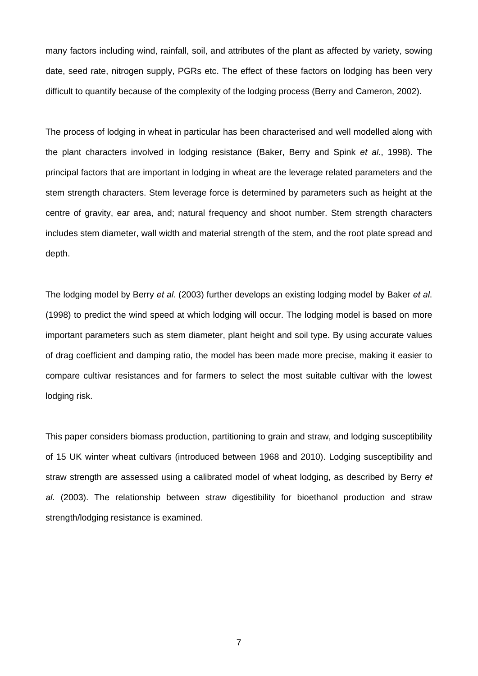many factors including wind, rainfall, soil, and attributes of the plant as affected by variety, sowing date, seed rate, nitrogen supply, PGRs etc. The effect of these factors on lodging has been very difficult to quantify because of the complexity of the lodging process (Berry and Cameron, 2002).

The process of lodging in wheat in particular has been characterised and well modelled along with the plant characters involved in lodging resistance (Baker, Berry and Spink *et al*., 1998). The principal factors that are important in lodging in wheat are the leverage related parameters and the stem strength characters. Stem leverage force is determined by parameters such as height at the centre of gravity, ear area, and; natural frequency and shoot number. Stem strength characters includes stem diameter, wall width and material strength of the stem, and the root plate spread and depth.

The lodging model by Berry *et al*. (2003) further develops an existing lodging model by Baker *et al*. (1998) to predict the wind speed at which lodging will occur. The lodging model is based on more important parameters such as stem diameter, plant height and soil type. By using accurate values of drag coefficient and damping ratio, the model has been made more precise, making it easier to compare cultivar resistances and for farmers to select the most suitable cultivar with the lowest lodging risk.

This paper considers biomass production, partitioning to grain and straw, and lodging susceptibility of 15 UK winter wheat cultivars (introduced between 1968 and 2010). Lodging susceptibility and straw strength are assessed using a calibrated model of wheat lodging, as described by Berry *et al*. (2003). The relationship between straw digestibility for bioethanol production and straw strength/lodging resistance is examined.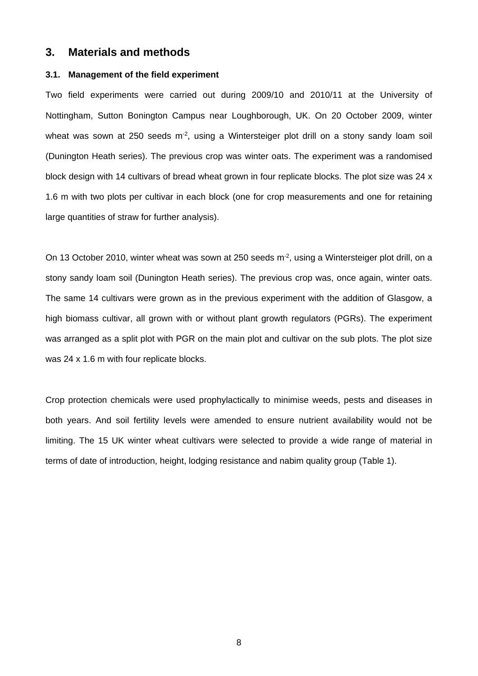# **3. Materials and methods**

## **3.1. Management of the field experiment**

Two field experiments were carried out during 2009/10 and 2010/11 at the University of Nottingham, Sutton Bonington Campus near Loughborough, UK. On 20 October 2009, winter wheat was sown at 250 seeds m<sup>-2</sup>, using a Wintersteiger plot drill on a stony sandy loam soil (Dunington Heath series). The previous crop was winter oats. The experiment was a randomised block design with 14 cultivars of bread wheat grown in four replicate blocks. The plot size was 24 x 1.6 m with two plots per cultivar in each block (one for crop measurements and one for retaining large quantities of straw for further analysis).

On 13 October 2010, winter wheat was sown at 250 seeds m<sup>-2</sup>, using a Wintersteiger plot drill, on a stony sandy loam soil (Dunington Heath series). The previous crop was, once again, winter oats. The same 14 cultivars were grown as in the previous experiment with the addition of Glasgow, a high biomass cultivar, all grown with or without plant growth regulators (PGRs). The experiment was arranged as a split plot with PGR on the main plot and cultivar on the sub plots. The plot size was 24 x 1.6 m with four replicate blocks.

Crop protection chemicals were used prophylactically to minimise weeds, pests and diseases in both years. And soil fertility levels were amended to ensure nutrient availability would not be limiting. The 15 UK winter wheat cultivars were selected to provide a wide range of material in terms of date of introduction, height, lodging resistance and nabim quality group (Table 1).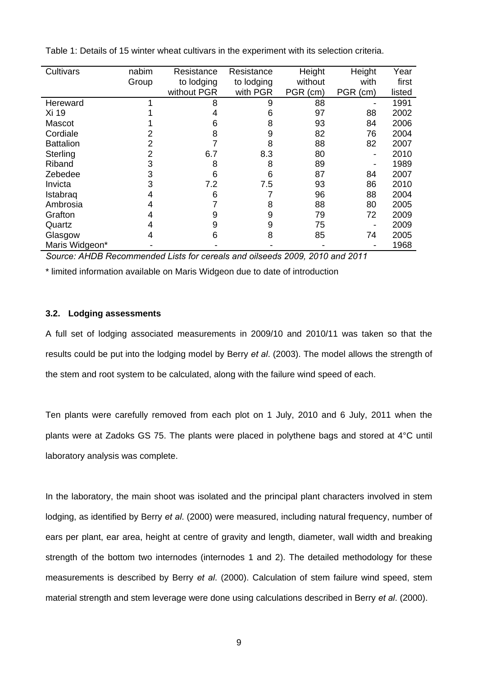| Cultivars        | nabim | Resistance  | Resistance | Height   | Height   | Year   |
|------------------|-------|-------------|------------|----------|----------|--------|
|                  | Group | to lodging  | to lodging | without  | with     | first  |
|                  |       | without PGR | with PGR   | PGR (cm) | PGR (cm) | listed |
| Hereward         |       | 8           | 9          | 88       |          | 1991   |
| Xi 19            |       |             | 6          | 97       | 88       | 2002   |
| Mascot           |       | 6           | 8          | 93       | 84       | 2006   |
| Cordiale         |       | 8           | 9          | 82       | 76       | 2004   |
| <b>Battalion</b> |       |             | 8          | 88       | 82       | 2007   |
| Sterling         |       | 6.7         | 8.3        | 80       | -        | 2010   |
| Riband           |       | 8           | 8          | 89       | -        | 1989   |
| Zebedee          | 3     | 6           | 6          | 87       | 84       | 2007   |
| Invicta          | 3     | 7.2         | 7.5        | 93       | 86       | 2010   |
| Istabrag         |       | 6           |            | 96       | 88       | 2004   |
| Ambrosia         |       |             | 8          | 88       | 80       | 2005   |
| Grafton          |       | 9           | 9          | 79       | 72       | 2009   |
| Quartz           |       | 9           | 9          | 75       |          | 2009   |
| Glasgow          |       | 6           | 8          | 85       | 74       | 2005   |
| Maris Widgeon*   |       |             |            |          | -        | 1968   |

Table 1: Details of 15 winter wheat cultivars in the experiment with its selection criteria.

*Source: AHDB Recommended Lists for cereals and oilseeds 2009, 2010 and 2011* 

\* limited information available on Maris Widgeon due to date of introduction

#### **3.2. Lodging assessments**

A full set of lodging associated measurements in 2009/10 and 2010/11 was taken so that the results could be put into the lodging model by Berry *et al*. (2003). The model allows the strength of the stem and root system to be calculated, along with the failure wind speed of each.

Ten plants were carefully removed from each plot on 1 July, 2010 and 6 July, 2011 when the plants were at Zadoks GS 75. The plants were placed in polythene bags and stored at 4°C until laboratory analysis was complete.

In the laboratory, the main shoot was isolated and the principal plant characters involved in stem lodging, as identified by Berry *et al*. (2000) were measured, including natural frequency, number of ears per plant, ear area, height at centre of gravity and length, diameter, wall width and breaking strength of the bottom two internodes (internodes 1 and 2). The detailed methodology for these measurements is described by Berry *et al*. (2000). Calculation of stem failure wind speed, stem material strength and stem leverage were done using calculations described in Berry *et al*. (2000).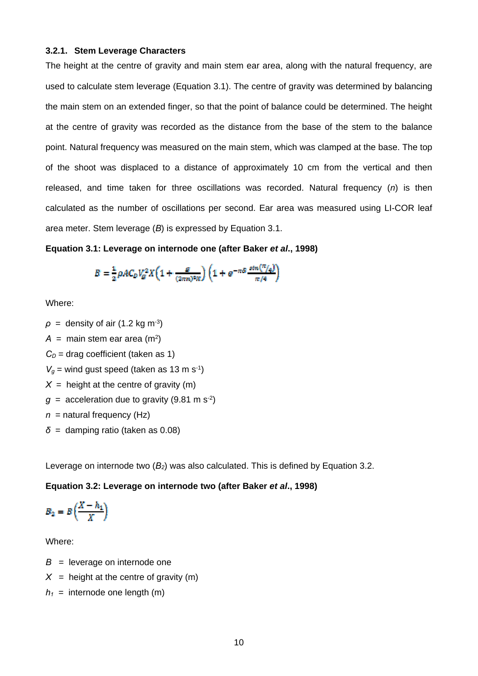#### **3.2.1. Stem Leverage Characters**

The height at the centre of gravity and main stem ear area, along with the natural frequency, are used to calculate stem leverage (Equation 3.1). The centre of gravity was determined by balancing the main stem on an extended finger, so that the point of balance could be determined. The height at the centre of gravity was recorded as the distance from the base of the stem to the balance point. Natural frequency was measured on the main stem, which was clamped at the base. The top of the shoot was displaced to a distance of approximately 10 cm from the vertical and then released, and time taken for three oscillations was recorded. Natural frequency (*n*) is then calculated as the number of oscillations per second. Ear area was measured using LI-COR leaf area meter. Stem leverage (*B*) is expressed by Equation 3.1.

#### **Equation 3.1: Leverage on internode one (after Baker** *et al***., 1998)**

$$
B = \frac{1}{2} \rho A C_D V_g^2 X \left( 1 + \frac{g}{(2\pi n)^2 N} \right) \left( 1 + e^{-\pi \delta} \frac{\sin(\pi/a)}{\pi/a} \right)
$$

Where:

- $\rho$  = density of air (1.2 kg m<sup>-3</sup>)  $A =$  main stem ear area (m<sup>2</sup>)  $C_D$  = drag coefficient (taken as 1)  $V<sub>g</sub>$  = wind gust speed (taken as 13 m s<sup>-1</sup>)  $X =$  height at the centre of gravity (m)  $q =$  acceleration due to gravity (9.81 m s<sup>-2</sup>)
- *n* = natural frequency (Hz)
- $\delta$  = damping ratio (taken as 0.08)

Leverage on internode two (*B2*) was also calculated. This is defined by Equation 3.2.

#### **Equation 3.2: Leverage on internode two (after Baker** *et al***., 1998)**

$$
B_2=B\left(\frac{X-h_1}{X}\right)
$$

Where:

- $B =$  leverage on internode one
- $X =$  height at the centre of gravity (m)
- $h_1$  = internode one length (m)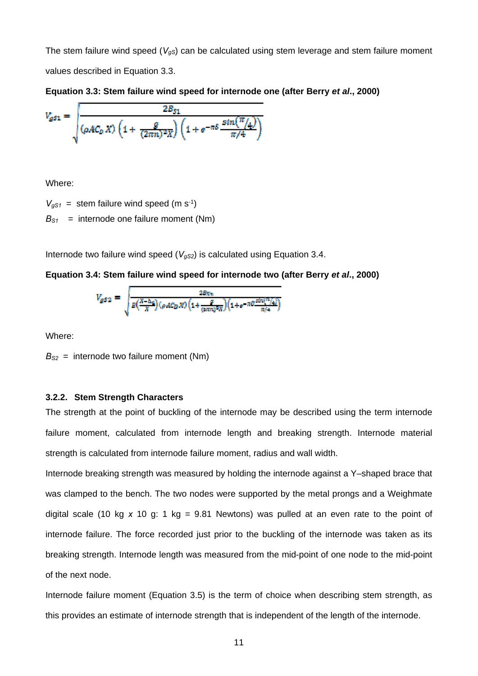The stem failure wind speed ( $V_{gS}$ ) can be calculated using stem leverage and stem failure moment values described in Equation 3.3.

**Equation 3.3: Stem failure wind speed for internode one (after Berry** *et al***., 2000)** 

$$
V_{gs1} = \sqrt{\frac{2B_{s1}}{\left(\rho A C_D X\right)\left(1 + \frac{g}{(2\pi n)^2 X}\right)\left(1 + e^{-\pi \delta} \frac{\sin\left(\frac{\pi}{4}\right)}{\pi/4}\right)}}
$$

Where:

 $V_{gs1}$  = stem failure wind speed (m s<sup>-1</sup>)  $B_{S1}$  = internode one failure moment (Nm)

Internode two failure wind speed  $(V_{gS2})$  is calculated using Equation 3.4.

#### **Equation 3.4: Stem failure wind speed for internode two (after Berry** *et al***., 2000)**

$$
V_{gS2} = \sqrt{\frac{2Bg_n}{B\left(\frac{X-\Delta_4}{X}\right)(\rho AC_D X)\left(1+\frac{g}{(\text{p.m})^2 X}\right)\left(1+e^{-\pi i \theta} \frac{\sin\left(\frac{m}{\lambda_4}\right)}{\pi/4}\right)}}
$$

Where:

 $B_{S2}$  = internode two failure moment (Nm)

#### **3.2.2. Stem Strength Characters**

The strength at the point of buckling of the internode may be described using the term internode failure moment, calculated from internode length and breaking strength. Internode material strength is calculated from internode failure moment, radius and wall width.

Internode breaking strength was measured by holding the internode against a Y–shaped brace that was clamped to the bench. The two nodes were supported by the metal prongs and a Weighmate digital scale (10 kg *x* 10 g: 1 kg = 9.81 Newtons) was pulled at an even rate to the point of internode failure. The force recorded just prior to the buckling of the internode was taken as its breaking strength. Internode length was measured from the mid-point of one node to the mid-point of the next node.

Internode failure moment (Equation 3.5) is the term of choice when describing stem strength, as this provides an estimate of internode strength that is independent of the length of the internode.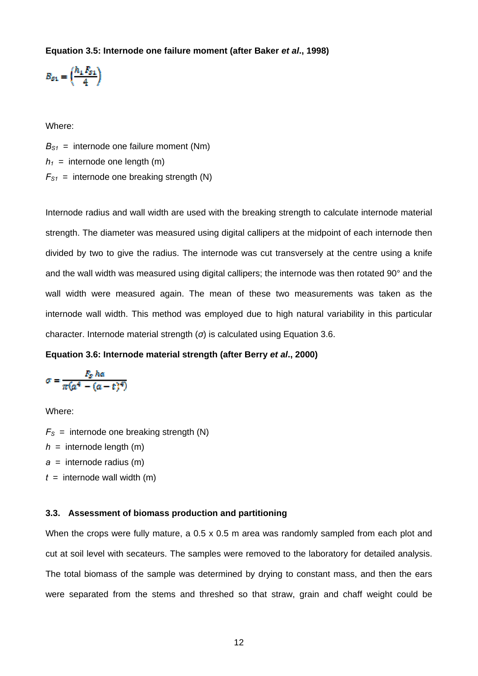#### **Equation 3.5: Internode one failure moment (after Baker** *et al***., 1998)**

$$
B_{g_1} = \left(\frac{h_1 I_{g_1}}{4}\right)
$$

Where:

 $B_{S1}$  = internode one failure moment (Nm)  $h_1$  = internode one length (m)  $F_{S1}$  = internode one breaking strength (N)

Internode radius and wall width are used with the breaking strength to calculate internode material strength. The diameter was measured using digital callipers at the midpoint of each internode then divided by two to give the radius. The internode was cut transversely at the centre using a knife and the wall width was measured using digital callipers; the internode was then rotated 90° and the wall width were measured again. The mean of these two measurements was taken as the internode wall width. This method was employed due to high natural variability in this particular character. Internode material strength (*σ*) is calculated using Equation 3.6.

#### **Equation 3.6: Internode material strength (after Berry** *et al***., 2000)**

$$
\sigma = \frac{F_{S} \, h a}{\pi (a^4 - (a - t)^4)}
$$

Where:

 $F<sub>S</sub>$  = internode one breaking strength (N)

 $h =$  internode length (m)

 $a =$  internode radius (m)

 $t =$  internode wall width (m)

## **3.3. Assessment of biomass production and partitioning**

When the crops were fully mature, a 0.5 x 0.5 m area was randomly sampled from each plot and cut at soil level with secateurs. The samples were removed to the laboratory for detailed analysis. The total biomass of the sample was determined by drying to constant mass, and then the ears were separated from the stems and threshed so that straw, grain and chaff weight could be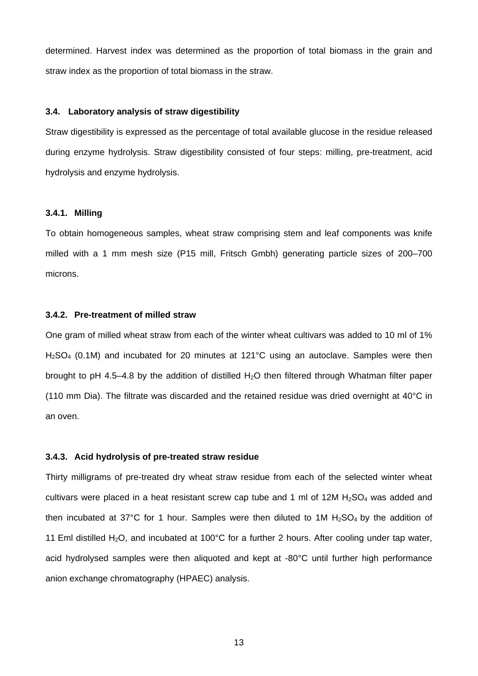determined. Harvest index was determined as the proportion of total biomass in the grain and straw index as the proportion of total biomass in the straw.

## **3.4. Laboratory analysis of straw digestibility**

Straw digestibility is expressed as the percentage of total available glucose in the residue released during enzyme hydrolysis. Straw digestibility consisted of four steps: milling, pre-treatment, acid hydrolysis and enzyme hydrolysis.

#### **3.4.1. Milling**

To obtain homogeneous samples, wheat straw comprising stem and leaf components was knife milled with a 1 mm mesh size (P15 mill, Fritsch Gmbh) generating particle sizes of 200–700 microns.

#### **3.4.2. Pre-treatment of milled straw**

One gram of milled wheat straw from each of the winter wheat cultivars was added to 10 ml of 1% H<sub>2</sub>SO<sub>4</sub> (0.1M) and incubated for 20 minutes at 121°C using an autoclave. Samples were then brought to pH 4.5–4.8 by the addition of distilled  $H_2O$  then filtered through Whatman filter paper (110 mm Dia). The filtrate was discarded and the retained residue was dried overnight at 40°C in an oven.

#### **3.4.3. Acid hydrolysis of pre-treated straw residue**

Thirty milligrams of pre-treated dry wheat straw residue from each of the selected winter wheat cultivars were placed in a heat resistant screw cap tube and 1 ml of 12M  $H_2SO_4$  was added and then incubated at 37°C for 1 hour. Samples were then diluted to 1M  $H<sub>2</sub>SO<sub>4</sub>$  by the addition of 11 Eml distilled H<sub>2</sub>O, and incubated at 100°C for a further 2 hours. After cooling under tap water, acid hydrolysed samples were then aliquoted and kept at -80°C until further high performance anion exchange chromatography (HPAEC) analysis.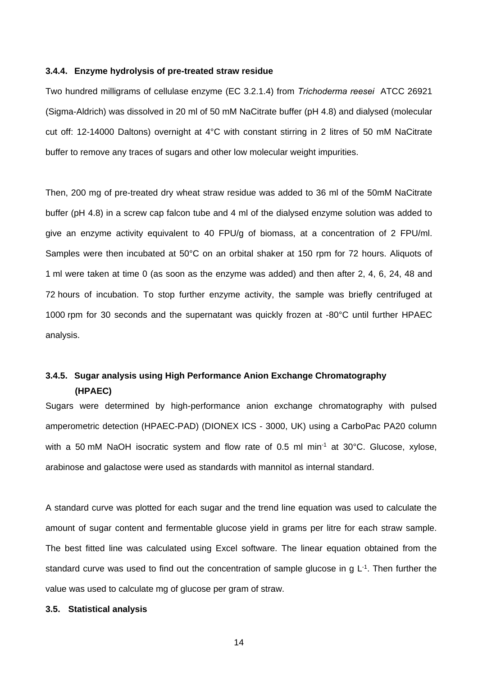#### **3.4.4. Enzyme hydrolysis of pre-treated straw residue**

Two hundred milligrams of cellulase enzyme (EC 3.2.1.4) from *Trichoderma reesei* ATCC 26921 (Sigma-Aldrich) was dissolved in 20 ml of 50 mM NaCitrate buffer (pH 4.8) and dialysed (molecular cut off: 12-14000 Daltons) overnight at 4°C with constant stirring in 2 litres of 50 mM NaCitrate buffer to remove any traces of sugars and other low molecular weight impurities.

Then, 200 mg of pre-treated dry wheat straw residue was added to 36 ml of the 50mM NaCitrate buffer (pH 4.8) in a screw cap falcon tube and 4 ml of the dialysed enzyme solution was added to give an enzyme activity equivalent to 40 FPU/g of biomass, at a concentration of 2 FPU/ml. Samples were then incubated at 50°C on an orbital shaker at 150 rpm for 72 hours. Aliquots of 1 ml were taken at time 0 (as soon as the enzyme was added) and then after 2, 4, 6, 24, 48 and 72 hours of incubation. To stop further enzyme activity, the sample was briefly centrifuged at 1000 rpm for 30 seconds and the supernatant was quickly frozen at -80°C until further HPAEC analysis.

# **3.4.5. Sugar analysis using High Performance Anion Exchange Chromatography (HPAEC)**

Sugars were determined by high-performance anion exchange chromatography with pulsed amperometric detection (HPAEC-PAD) (DIONEX ICS - 3000, UK) using a CarboPac PA20 column with a 50 mM NaOH isocratic system and flow rate of 0.5 ml min<sup>-1</sup> at 30°C. Glucose, xylose, arabinose and galactose were used as standards with mannitol as internal standard.

A standard curve was plotted for each sugar and the trend line equation was used to calculate the amount of sugar content and fermentable glucose yield in grams per litre for each straw sample. The best fitted line was calculated using Excel software. The linear equation obtained from the standard curve was used to find out the concentration of sample glucose in g  $L^{-1}$ . Then further the value was used to calculate mg of glucose per gram of straw.

#### **3.5. Statistical analysis**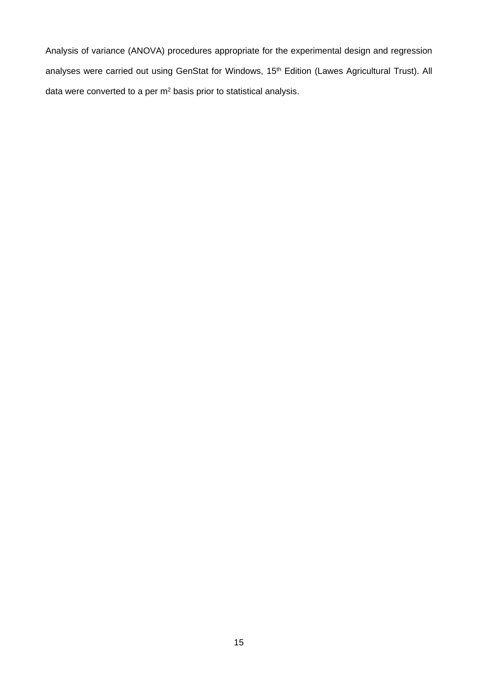Analysis of variance (ANOVA) procedures appropriate for the experimental design and regression analyses were carried out using GenStat for Windows, 15<sup>th</sup> Edition (Lawes Agricultural Trust). All data were converted to a per m2 basis prior to statistical analysis.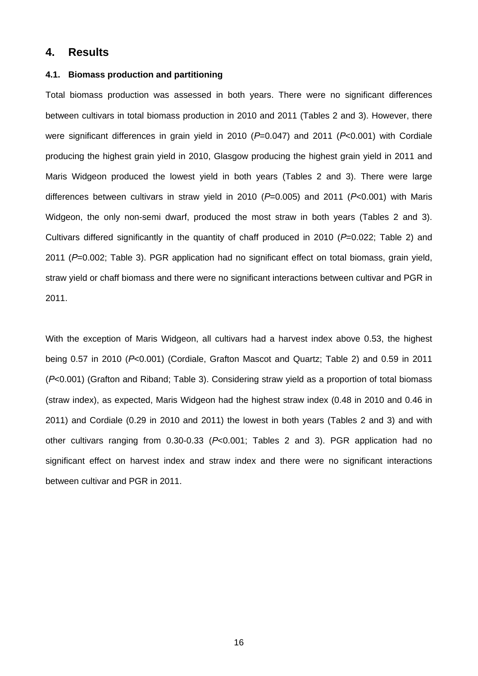## **4. Results**

#### **4.1. Biomass production and partitioning**

Total biomass production was assessed in both years. There were no significant differences between cultivars in total biomass production in 2010 and 2011 (Tables 2 and 3). However, there were significant differences in grain yield in 2010 (*P*=0.047) and 2011 (*P*<0.001) with Cordiale producing the highest grain yield in 2010, Glasgow producing the highest grain yield in 2011 and Maris Widgeon produced the lowest yield in both years (Tables 2 and 3). There were large differences between cultivars in straw yield in 2010 (*P*=0.005) and 2011 (*P*<0.001) with Maris Widgeon, the only non-semi dwarf, produced the most straw in both years (Tables 2 and 3). Cultivars differed significantly in the quantity of chaff produced in 2010 (*P*=0.022; Table 2) and 2011 (*P*=0.002; Table 3). PGR application had no significant effect on total biomass, grain yield, straw yield or chaff biomass and there were no significant interactions between cultivar and PGR in 2011.

With the exception of Maris Widgeon, all cultivars had a harvest index above 0.53, the highest being 0.57 in 2010 (*P*<0.001) (Cordiale, Grafton Mascot and Quartz; Table 2) and 0.59 in 2011 (*P*<0.001) (Grafton and Riband; Table 3). Considering straw yield as a proportion of total biomass (straw index), as expected, Maris Widgeon had the highest straw index (0.48 in 2010 and 0.46 in 2011) and Cordiale (0.29 in 2010 and 2011) the lowest in both years (Tables 2 and 3) and with other cultivars ranging from 0.30-0.33 (*P*<0.001; Tables 2 and 3). PGR application had no significant effect on harvest index and straw index and there were no significant interactions between cultivar and PGR in 2011.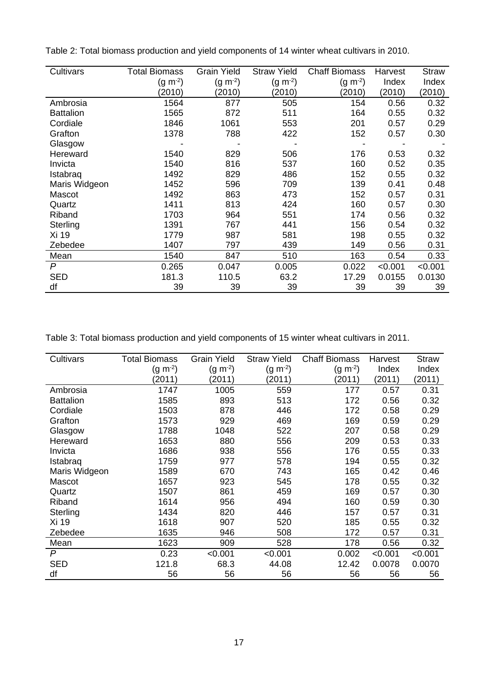| Cultivars        | <b>Total Biomass</b> | <b>Grain Yield</b> | <b>Straw Yield</b> | <b>Chaff Biomass</b> | Harvest | <b>Straw</b> |
|------------------|----------------------|--------------------|--------------------|----------------------|---------|--------------|
|                  | $(g m-2)$            | $(g \; m^{-2})$    | $(g m-2)$          | $(g \; m^{-2})$      | Index   | Index        |
|                  | (2010)               | (2010)             | (2010)             | (2010)               | (2010)  | (2010)       |
| Ambrosia         | 1564                 | 877                | 505                | 154                  | 0.56    | 0.32         |
| <b>Battalion</b> | 1565                 | 872                | 511                | 164                  | 0.55    | 0.32         |
| Cordiale         | 1846                 | 1061               | 553                | 201                  | 0.57    | 0.29         |
| Grafton          | 1378                 | 788                | 422                | 152                  | 0.57    | 0.30         |
| Glasgow          |                      |                    |                    |                      |         |              |
| Hereward         | 1540                 | 829                | 506                | 176                  | 0.53    | 0.32         |
| Invicta          | 1540                 | 816                | 537                | 160                  | 0.52    | 0.35         |
| Istabraq         | 1492                 | 829                | 486                | 152                  | 0.55    | 0.32         |
| Maris Widgeon    | 1452                 | 596                | 709                | 139                  | 0.41    | 0.48         |
| Mascot           | 1492                 | 863                | 473                | 152                  | 0.57    | 0.31         |
| Quartz           | 1411                 | 813                | 424                | 160                  | 0.57    | 0.30         |
| Riband           | 1703                 | 964                | 551                | 174                  | 0.56    | 0.32         |
| Sterling         | 1391                 | 767                | 441                | 156                  | 0.54    | 0.32         |
| Xi 19            | 1779                 | 987                | 581                | 198                  | 0.55    | 0.32         |
| Zebedee          | 1407                 | 797                | 439                | 149                  | 0.56    | 0.31         |
| Mean             | 1540                 | 847                | 510                | 163                  | 0.54    | 0.33         |
| P                | 0.265                | 0.047              | 0.005              | 0.022                | < 0.001 | < 0.001      |
| <b>SED</b>       | 181.3                | 110.5              | 63.2               | 17.29                | 0.0155  | 0.0130       |
| df               | 39                   | 39                 | 39                 | 39                   | 39      | 39           |

Table 2: Total biomass production and yield components of 14 winter wheat cultivars in 2010.

Table 3: Total biomass production and yield components of 15 winter wheat cultivars in 2011.

| Cultivars        | <b>Total Biomass</b> | <b>Grain Yield</b> | <b>Straw Yield</b> | <b>Chaff Biomass</b> | Harvest | <b>Straw</b> |
|------------------|----------------------|--------------------|--------------------|----------------------|---------|--------------|
|                  | $(g m-2)$            | $(g m^{-2})$       | $(g \; m^{-2})$    | $(g m-2)$            | Index   | Index        |
|                  | (2011)               | (2011)             | (2011)             | (2011)               | (2011)  | (2011)       |
| Ambrosia         | 1747                 | 1005               | 559                | 177                  | 0.57    | 0.31         |
| <b>Battalion</b> | 1585                 | 893                | 513                | 172                  | 0.56    | 0.32         |
| Cordiale         | 1503                 | 878                | 446                | 172                  | 0.58    | 0.29         |
| Grafton          | 1573                 | 929                | 469                | 169                  | 0.59    | 0.29         |
| Glasgow          | 1788                 | 1048               | 522                | 207                  | 0.58    | 0.29         |
| Hereward         | 1653                 | 880                | 556                | 209                  | 0.53    | 0.33         |
| Invicta          | 1686                 | 938                | 556                | 176                  | 0.55    | 0.33         |
| Istabrag         | 1759                 | 977                | 578                | 194                  | 0.55    | 0.32         |
| Maris Widgeon    | 1589                 | 670                | 743                | 165                  | 0.42    | 0.46         |
| Mascot           | 1657                 | 923                | 545                | 178                  | 0.55    | 0.32         |
| Quartz           | 1507                 | 861                | 459                | 169                  | 0.57    | 0.30         |
| Riband           | 1614                 | 956                | 494                | 160                  | 0.59    | 0.30         |
| Sterling         | 1434                 | 820                | 446                | 157                  | 0.57    | 0.31         |
| Xi 19            | 1618                 | 907                | 520                | 185                  | 0.55    | 0.32         |
| Zebedee          | 1635                 | 946                | 508                | 172                  | 0.57    | 0.31         |
| Mean             | 1623                 | 909                | 528                | 178                  | 0.56    | 0.32         |
| P                | 0.23                 | < 0.001            | < 0.001            | 0.002                | < 0.001 | < 0.001      |
| <b>SED</b>       | 121.8                | 68.3               | 44.08              | 12.42                | 0.0078  | 0.0070       |
| df               | 56                   | 56                 | 56                 | 56                   | 56      | 56           |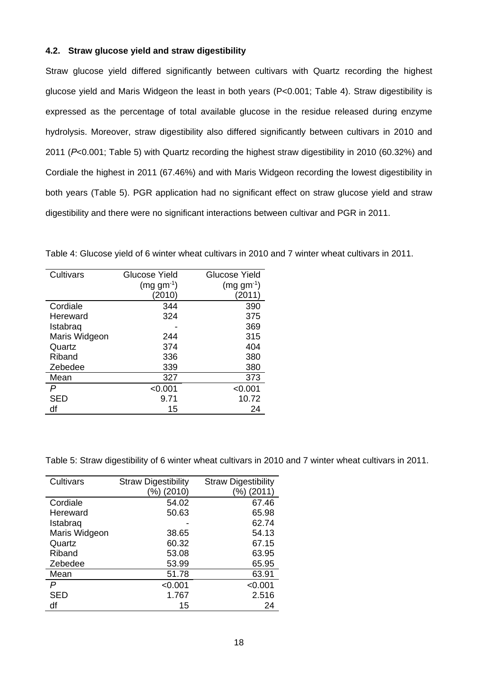## **4.2. Straw glucose yield and straw digestibility**

Straw glucose yield differed significantly between cultivars with Quartz recording the highest glucose yield and Maris Widgeon the least in both years (P<0.001; Table 4). Straw digestibility is expressed as the percentage of total available glucose in the residue released during enzyme hydrolysis. Moreover, straw digestibility also differed significantly between cultivars in 2010 and 2011 (*P*<0.001; Table 5) with Quartz recording the highest straw digestibility in 2010 (60.32%) and Cordiale the highest in 2011 (67.46%) and with Maris Widgeon recording the lowest digestibility in both years (Table 5). PGR application had no significant effect on straw glucose yield and straw digestibility and there were no significant interactions between cultivar and PGR in 2011.

| Cultivars     | Glucose Yield  | Glucose Yield  |
|---------------|----------------|----------------|
|               | $(mq gm^{-1})$ | $(mg gm^{-1})$ |
|               | (2010)         | (2011)         |
| Cordiale      | 344            | 390            |
| Hereward      | 324            | 375            |
| Istabrag      |                | 369            |
| Maris Widgeon | 244            | 315            |
| Quartz        | 374            | 404            |
| Riband        | 336            | 380            |
| Zebedee       | 339            | 380            |
| Mean          | 327            | 373            |
| P             | < 0.001        | < 0.001        |
| SED           | 9.71           | 10.72          |
| df            | 15             | 24             |

Table 4: Glucose yield of 6 winter wheat cultivars in 2010 and 7 winter wheat cultivars in 2011.

Table 5: Straw digestibility of 6 winter wheat cultivars in 2010 and 7 winter wheat cultivars in 2011.

| Cultivars     | <b>Straw Digestibility</b> | <b>Straw Digestibility</b> |  |
|---------------|----------------------------|----------------------------|--|
|               | (%) (2010)                 | (2011)<br>(%)              |  |
| Cordiale      | 54.02                      | 67.46                      |  |
| Hereward      | 50.63                      | 65.98                      |  |
| Istabraq      |                            | 62.74                      |  |
| Maris Widgeon | 38.65                      | 54.13                      |  |
| Quartz        | 60.32                      | 67.15                      |  |
| Riband        | 53.08                      | 63.95                      |  |
| Zebedee       | 53.99                      | 65.95                      |  |
| Mean          | 51.78                      | 63.91                      |  |
| P             | < 0.001                    | < 0.001                    |  |
| SED           | 1.767                      | 2.516                      |  |
| df            | 15                         | 24                         |  |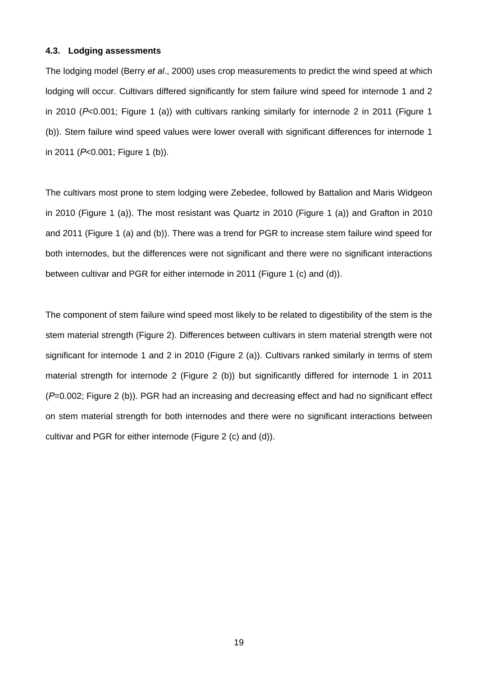#### **4.3. Lodging assessments**

The lodging model (Berry *et al*., 2000) uses crop measurements to predict the wind speed at which lodging will occur. Cultivars differed significantly for stem failure wind speed for internode 1 and 2 in 2010 (*P*<0.001; Figure 1 (a)) with cultivars ranking similarly for internode 2 in 2011 (Figure 1 (b)). Stem failure wind speed values were lower overall with significant differences for internode 1 in 2011 (*P*<0.001; Figure 1 (b)).

The cultivars most prone to stem lodging were Zebedee, followed by Battalion and Maris Widgeon in 2010 (Figure 1 (a)). The most resistant was Quartz in 2010 (Figure 1 (a)) and Grafton in 2010 and 2011 (Figure 1 (a) and (b)). There was a trend for PGR to increase stem failure wind speed for both internodes, but the differences were not significant and there were no significant interactions between cultivar and PGR for either internode in 2011 (Figure 1 (c) and (d)).

The component of stem failure wind speed most likely to be related to digestibility of the stem is the stem material strength (Figure 2). Differences between cultivars in stem material strength were not significant for internode 1 and 2 in 2010 (Figure 2 (a)). Cultivars ranked similarly in terms of stem material strength for internode 2 (Figure 2 (b)) but significantly differed for internode 1 in 2011 (*P*=0.002; Figure 2 (b)). PGR had an increasing and decreasing effect and had no significant effect on stem material strength for both internodes and there were no significant interactions between cultivar and PGR for either internode (Figure 2 (c) and (d)).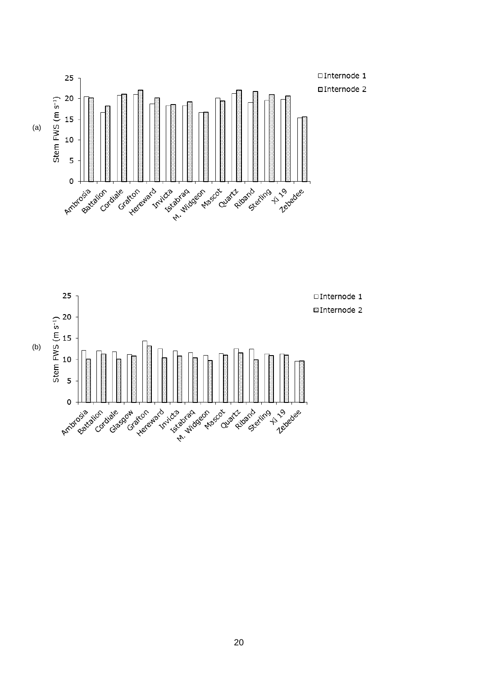

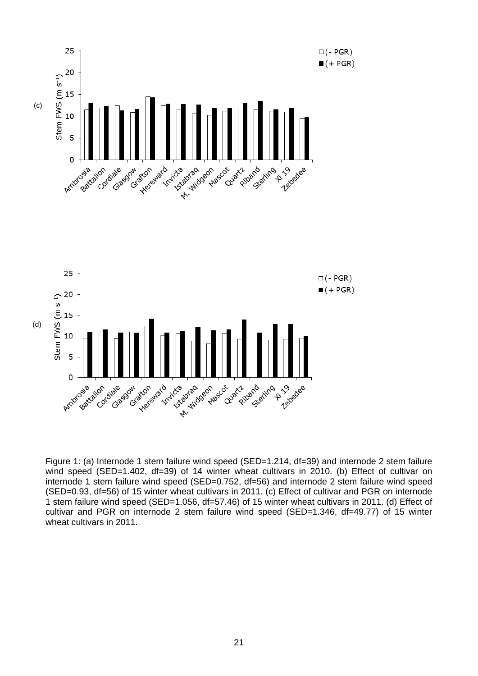

Figure 1: (a) Internode 1 stem failure wind speed (SED=1.214, df=39) and internode 2 stem failure wind speed (SED=1.402, df=39) of 14 winter wheat cultivars in 2010. (b) Effect of cultivar on internode 1 stem failure wind speed (SED=0.752, df=56) and internode 2 stem failure wind speed (SED=0.93, df=56) of 15 winter wheat cultivars in 2011. (c) Effect of cultivar and PGR on internode 1 stem failure wind speed (SED=1.056, df=57.46) of 15 winter wheat cultivars in 2011. (d) Effect of cultivar and PGR on internode 2 stem failure wind speed (SED=1.346, df=49.77) of 15 winter wheat cultivars in 2011.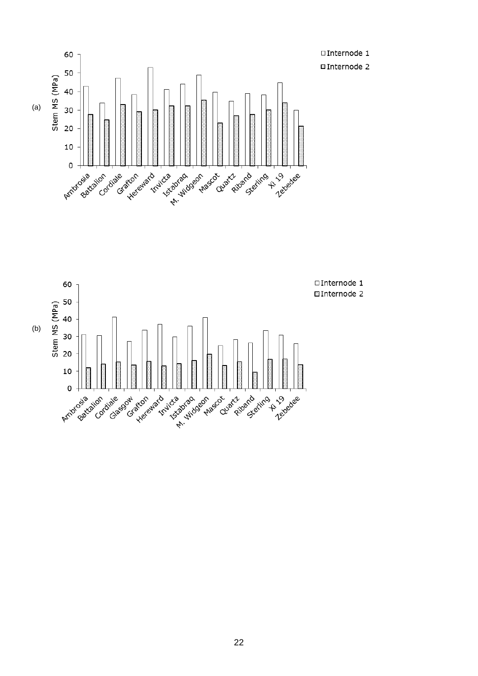



(b)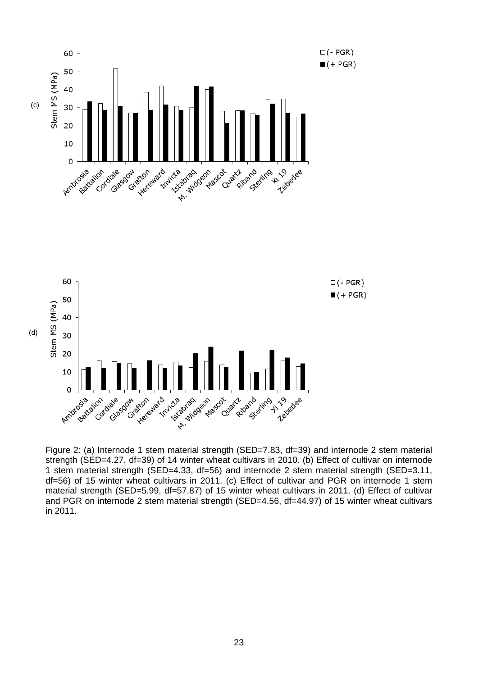

Figure 2: (a) Internode 1 stem material strength (SED=7.83, df=39) and internode 2 stem material strength (SED=4.27, df=39) of 14 winter wheat cultivars in 2010. (b) Effect of cultivar on internode 1 stem material strength (SED=4.33, df=56) and internode 2 stem material strength (SED=3.11, df=56) of 15 winter wheat cultivars in 2011. (c) Effect of cultivar and PGR on internode 1 stem material strength (SED=5.99, df=57.87) of 15 winter wheat cultivars in 2011. (d) Effect of cultivar and PGR on internode 2 stem material strength (SED=4.56, df=44.97) of 15 winter wheat cultivars in 2011.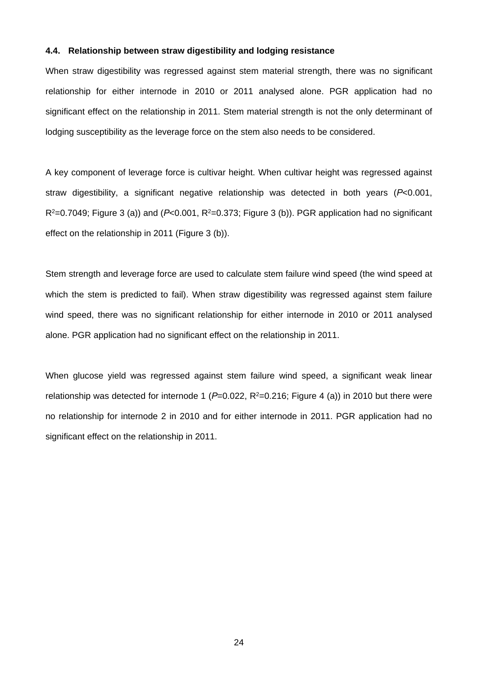#### **4.4. Relationship between straw digestibility and lodging resistance**

When straw digestibility was regressed against stem material strength, there was no significant relationship for either internode in 2010 or 2011 analysed alone. PGR application had no significant effect on the relationship in 2011. Stem material strength is not the only determinant of lodging susceptibility as the leverage force on the stem also needs to be considered.

A key component of leverage force is cultivar height. When cultivar height was regressed against straw digestibility, a significant negative relationship was detected in both years (*P*<0.001,  $R^2$ =0.7049; Figure 3 (a)) and ( $P$ <0.001,  $R^2$ =0.373; Figure 3 (b)). PGR application had no significant effect on the relationship in 2011 (Figure 3 (b)).

Stem strength and leverage force are used to calculate stem failure wind speed (the wind speed at which the stem is predicted to fail). When straw digestibility was regressed against stem failure wind speed, there was no significant relationship for either internode in 2010 or 2011 analysed alone. PGR application had no significant effect on the relationship in 2011.

When glucose yield was regressed against stem failure wind speed, a significant weak linear relationship was detected for internode 1 ( $P=0.022$ ,  $R^2=0.216$ ; Figure 4 (a)) in 2010 but there were no relationship for internode 2 in 2010 and for either internode in 2011. PGR application had no significant effect on the relationship in 2011.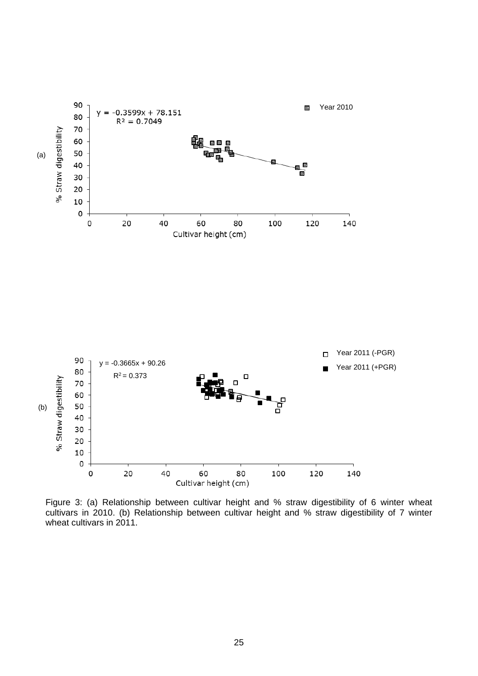

Figure 3: (a) Relationship between cultivar height and % straw digestibility of 6 winter wheat cultivars in 2010. (b) Relationship between cultivar height and % straw digestibility of 7 winter wheat cultivars in 2011.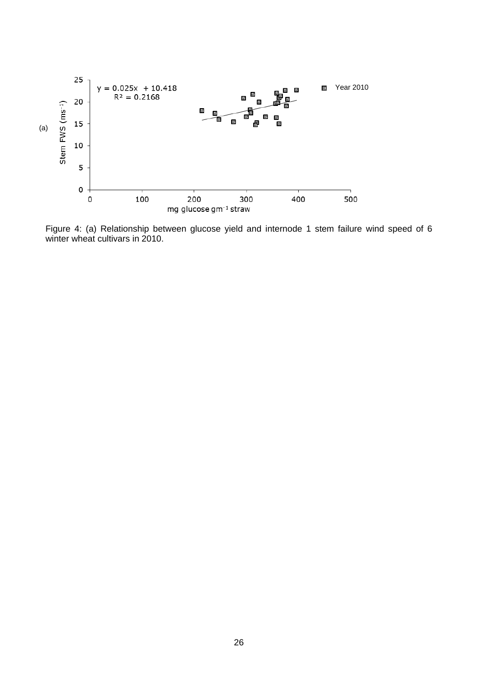

Figure 4: (a) Relationship between glucose yield and internode 1 stem failure wind speed of 6 winter wheat cultivars in 2010.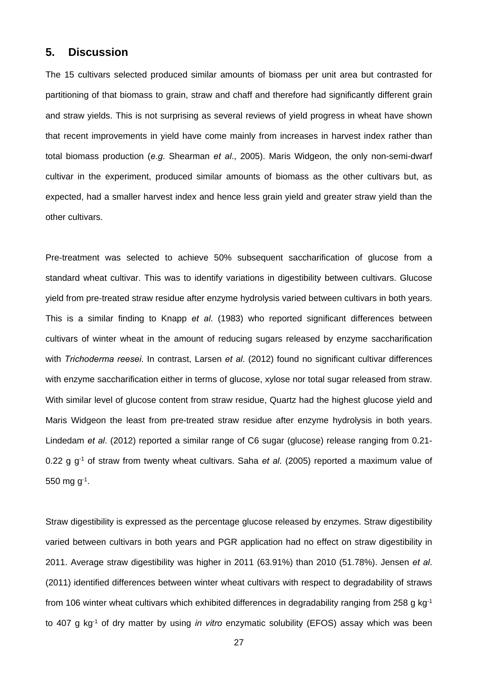## **5. Discussion**

The 15 cultivars selected produced similar amounts of biomass per unit area but contrasted for partitioning of that biomass to grain, straw and chaff and therefore had significantly different grain and straw yields. This is not surprising as several reviews of yield progress in wheat have shown that recent improvements in yield have come mainly from increases in harvest index rather than total biomass production (*e.g.* Shearman *et al*., 2005). Maris Widgeon, the only non-semi-dwarf cultivar in the experiment, produced similar amounts of biomass as the other cultivars but, as expected, had a smaller harvest index and hence less grain yield and greater straw yield than the other cultivars.

Pre-treatment was selected to achieve 50% subsequent saccharification of glucose from a standard wheat cultivar. This was to identify variations in digestibility between cultivars. Glucose yield from pre-treated straw residue after enzyme hydrolysis varied between cultivars in both years. This is a similar finding to Knapp *et al*. (1983) who reported significant differences between cultivars of winter wheat in the amount of reducing sugars released by enzyme saccharification with *Trichoderma reesei*. In contrast, Larsen *et al*. (2012) found no significant cultivar differences with enzyme saccharification either in terms of glucose, xylose nor total sugar released from straw. With similar level of glucose content from straw residue, Quartz had the highest glucose yield and Maris Widgeon the least from pre-treated straw residue after enzyme hydrolysis in both years. Lindedam *et al*. (2012) reported a similar range of C6 sugar (glucose) release ranging from 0.21- 0.22 g g-1 of straw from twenty wheat cultivars. Saha *et al*. (2005) reported a maximum value of 550 mg g-1.

Straw digestibility is expressed as the percentage glucose released by enzymes. Straw digestibility varied between cultivars in both years and PGR application had no effect on straw digestibility in 2011. Average straw digestibility was higher in 2011 (63.91%) than 2010 (51.78%). Jensen *et al*. (2011) identified differences between winter wheat cultivars with respect to degradability of straws from 106 winter wheat cultivars which exhibited differences in degradability ranging from 258 g kg-1 to 407 g kg-1 of dry matter by using *in vitro* enzymatic solubility (EFOS) assay which was been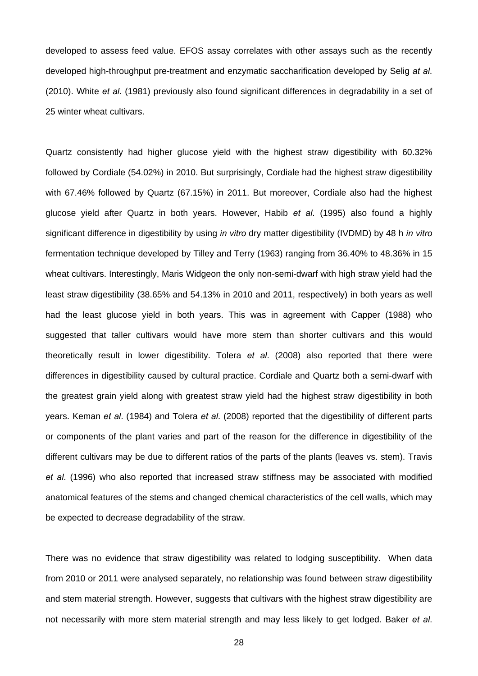developed to assess feed value. EFOS assay correlates with other assays such as the recently developed high-throughput pre-treatment and enzymatic saccharification developed by Selig *at al*. (2010). White *et al*. (1981) previously also found significant differences in degradability in a set of 25 winter wheat cultivars.

Quartz consistently had higher glucose yield with the highest straw digestibility with 60.32% followed by Cordiale (54.02%) in 2010. But surprisingly, Cordiale had the highest straw digestibility with 67.46% followed by Quartz (67.15%) in 2011. But moreover, Cordiale also had the highest glucose yield after Quartz in both years. However, Habib *et al*. (1995) also found a highly significant difference in digestibility by using *in vitro* dry matter digestibility (IVDMD) by 48 h *in vitro*  fermentation technique developed by Tilley and Terry (1963) ranging from 36.40% to 48.36% in 15 wheat cultivars. Interestingly, Maris Widgeon the only non-semi-dwarf with high straw yield had the least straw digestibility (38.65% and 54.13% in 2010 and 2011, respectively) in both years as well had the least glucose yield in both years. This was in agreement with Capper (1988) who suggested that taller cultivars would have more stem than shorter cultivars and this would theoretically result in lower digestibility. Tolera *et al*. (2008) also reported that there were differences in digestibility caused by cultural practice. Cordiale and Quartz both a semi-dwarf with the greatest grain yield along with greatest straw yield had the highest straw digestibility in both years. Keman *et al*. (1984) and Tolera *et al*. (2008) reported that the digestibility of different parts or components of the plant varies and part of the reason for the difference in digestibility of the different cultivars may be due to different ratios of the parts of the plants (leaves vs. stem). Travis *et al*. (1996) who also reported that increased straw stiffness may be associated with modified anatomical features of the stems and changed chemical characteristics of the cell walls, which may be expected to decrease degradability of the straw.

There was no evidence that straw digestibility was related to lodging susceptibility. When data from 2010 or 2011 were analysed separately, no relationship was found between straw digestibility and stem material strength. However, suggests that cultivars with the highest straw digestibility are not necessarily with more stem material strength and may less likely to get lodged. Baker *et al*.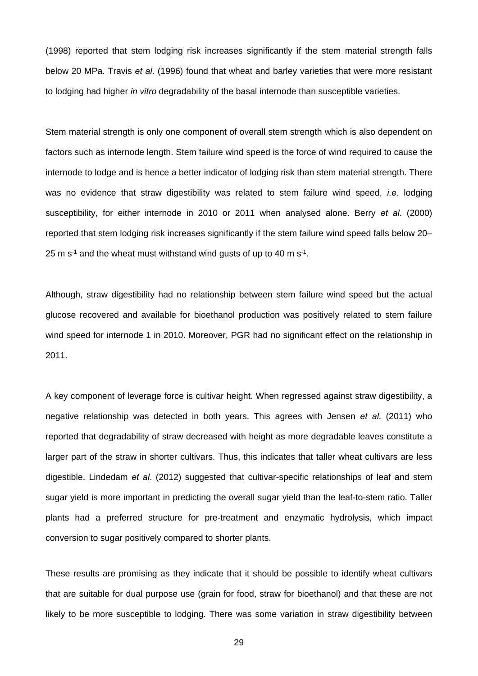(1998) reported that stem lodging risk increases significantly if the stem material strength falls below 20 MPa. Travis *et al*. (1996) found that wheat and barley varieties that were more resistant to lodging had higher *in vitro* degradability of the basal internode than susceptible varieties.

Stem material strength is only one component of overall stem strength which is also dependent on factors such as internode length. Stem failure wind speed is the force of wind required to cause the internode to lodge and is hence a better indicator of lodging risk than stem material strength. There was no evidence that straw digestibility was related to stem failure wind speed, *i.e.* lodging susceptibility, for either internode in 2010 or 2011 when analysed alone. Berry *et al*. (2000) reported that stem lodging risk increases significantly if the stem failure wind speed falls below 20– 25 m  $s<sup>-1</sup>$  and the wheat must withstand wind gusts of up to 40 m  $s<sup>-1</sup>$ .

Although, straw digestibility had no relationship between stem failure wind speed but the actual glucose recovered and available for bioethanol production was positively related to stem failure wind speed for internode 1 in 2010. Moreover, PGR had no significant effect on the relationship in 2011.

A key component of leverage force is cultivar height. When regressed against straw digestibility, a negative relationship was detected in both years. This agrees with Jensen *et al*. (2011) who reported that degradability of straw decreased with height as more degradable leaves constitute a larger part of the straw in shorter cultivars. Thus, this indicates that taller wheat cultivars are less digestible. Lindedam *et al*. (2012) suggested that cultivar-specific relationships of leaf and stem sugar yield is more important in predicting the overall sugar yield than the leaf-to-stem ratio. Taller plants had a preferred structure for pre-treatment and enzymatic hydrolysis, which impact conversion to sugar positively compared to shorter plants.

These results are promising as they indicate that it should be possible to identify wheat cultivars that are suitable for dual purpose use (grain for food, straw for bioethanol) and that these are not likely to be more susceptible to lodging. There was some variation in straw digestibility between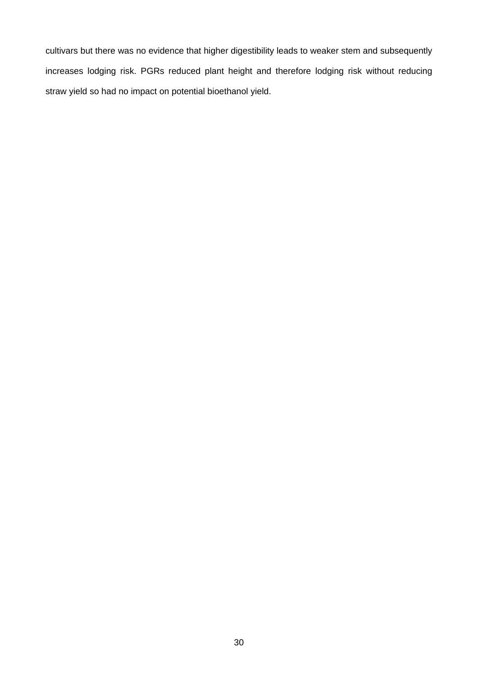cultivars but there was no evidence that higher digestibility leads to weaker stem and subsequently increases lodging risk. PGRs reduced plant height and therefore lodging risk without reducing straw yield so had no impact on potential bioethanol yield.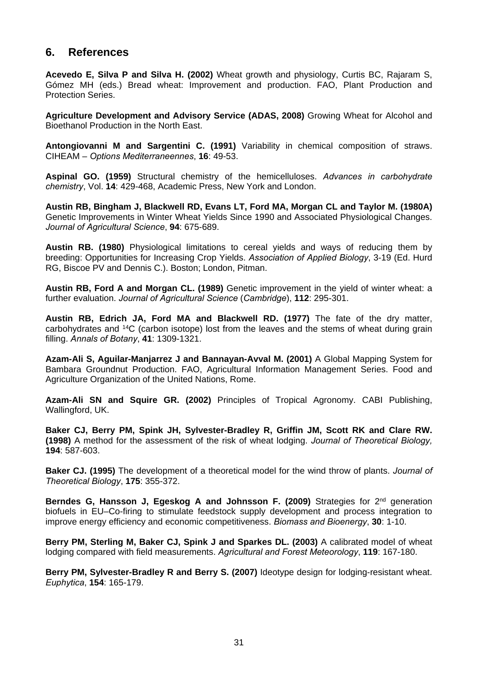# **6. References**

**Acevedo E, Silva P and Silva H. (2002)** Wheat growth and physiology, Curtis BC, Rajaram S, Gómez MH (eds.) Bread wheat: Improvement and production. FAO, Plant Production and Protection Series.

**Agriculture Development and Advisory Service (ADAS, 2008)** Growing Wheat for Alcohol and Bioethanol Production in the North East.

**Antongiovanni M and Sargentini C. (1991)** Variability in chemical composition of straws. CIHEAM – *Options Mediterraneennes*, **16**: 49-53.

**Aspinal GO. (1959)** Structural chemistry of the hemicelluloses. *Advances in carbohydrate chemistry*, Vol. **14**: 429-468, Academic Press, New York and London.

**Austin RB, Bingham J, Blackwell RD, Evans LT, Ford MA, Morgan CL and Taylor M. (1980A)**  Genetic Improvements in Winter Wheat Yields Since 1990 and Associated Physiological Changes. *Journal of Agricultural Science*, **94**: 675-689.

**Austin RB. (1980)** Physiological limitations to cereal yields and ways of reducing them by breeding: Opportunities for Increasing Crop Yields. *Association of Applied Biology*, 3-19 (Ed. Hurd RG, Biscoe PV and Dennis C.). Boston; London, Pitman.

**Austin RB, Ford A and Morgan CL. (1989)** Genetic improvement in the yield of winter wheat: a further evaluation. *Journal of Agricultural Science* (*Cambridge*), **112**: 295-301.

**Austin RB, Edrich JA, Ford MA and Blackwell RD. (1977)** The fate of the dry matter, carbohydrates and 14C (carbon isotope) lost from the leaves and the stems of wheat during grain filling. *Annals of Botany*, **41**: 1309-1321.

**Azam-Ali S, Aguilar-Manjarrez J and Bannayan-Avval M. (2001)** A Global Mapping System for Bambara Groundnut Production. FAO, Agricultural Information Management Series. Food and Agriculture Organization of the United Nations, Rome.

**Azam-Ali SN and Squire GR. (2002)** Principles of Tropical Agronomy. CABI Publishing, Wallingford, UK.

**Baker CJ, Berry PM, Spink JH, Sylvester-Bradley R, Griffin JM, Scott RK and Clare RW. (1998)** A method for the assessment of the risk of wheat lodging. *Journal of Theoretical Biology,*  **194**: 587-603.

**Baker CJ. (1995)** The development of a theoretical model for the wind throw of plants. *Journal of Theoretical Biology*, **175**: 355-372.

Berndes G, Hansson J, Egeskog A and Johnsson F. (2009) Strategies for 2<sup>nd</sup> generation biofuels in EU–Co-firing to stimulate feedstock supply development and process integration to improve energy efficiency and economic competitiveness. *Biomass and Bioenergy*, **30**: 1-10.

**Berry PM, Sterling M, Baker CJ, Spink J and Sparkes DL. (2003)** A calibrated model of wheat lodging compared with field measurements. *Agricultural and Forest Meteorology*, **119**: 167-180.

**Berry PM, Sylvester-Bradley R and Berry S. (2007)** Ideotype design for lodging-resistant wheat. *Euphytica*, **154**: 165-179.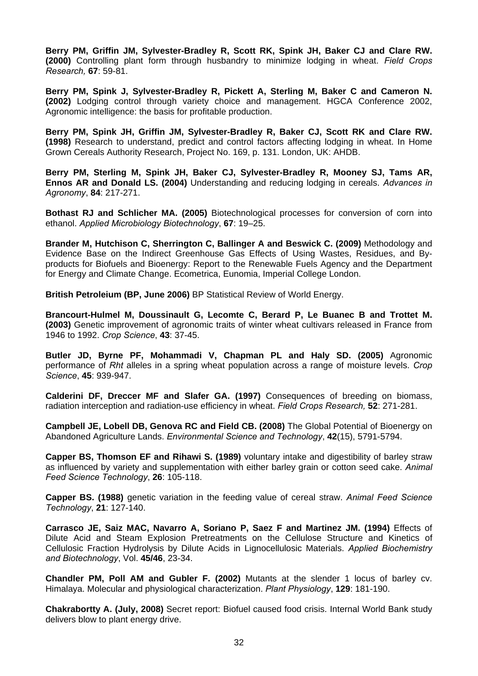**Berry PM, Griffin JM, Sylvester-Bradley R, Scott RK, Spink JH, Baker CJ and Clare RW. (2000)** Controlling plant form through husbandry to minimize lodging in wheat. *Field Crops Research,* **67**: 59-81.

**Berry PM, Spink J, Sylvester-Bradley R, Pickett A, Sterling M, Baker C and Cameron N. (2002)** Lodging control through variety choice and management. HGCA Conference 2002, Agronomic intelligence: the basis for profitable production.

**Berry PM, Spink JH, Griffin JM, Sylvester-Bradley R, Baker CJ, Scott RK and Clare RW. (1998)** Research to understand, predict and control factors affecting lodging in wheat. In Home Grown Cereals Authority Research, Project No. 169, p. 131. London, UK: AHDB.

**Berry PM, Sterling M, Spink JH, Baker CJ, Sylvester-Bradley R, Mooney SJ, Tams AR, Ennos AR and Donald LS. (2004)** Understanding and reducing lodging in cereals. *Advances in Agronomy*, **84**: 217-271.

**Bothast RJ and Schlicher MA. (2005)** Biotechnological processes for conversion of corn into ethanol. *Applied Microbiology Biotechnology*, **67**: 19–25.

**Brander M, Hutchison C, Sherrington C, Ballinger A and Beswick C. (2009)** Methodology and Evidence Base on the Indirect Greenhouse Gas Effects of Using Wastes, Residues, and Byproducts for Biofuels and Bioenergy: Report to the Renewable Fuels Agency and the Department for Energy and Climate Change. Ecometrica, Eunomia, Imperial College London.

**British Petroleium (BP, June 2006)** BP Statistical Review of World Energy.

**Brancourt-Hulmel M, Doussinault G, Lecomte C, Berard P, Le Buanec B and Trottet M. (2003)** Genetic improvement of agronomic traits of winter wheat cultivars released in France from 1946 to 1992. *Crop Science*, **43**: 37-45.

**Butler JD, Byrne PF, Mohammadi V, Chapman PL and Haly SD. (2005)** Agronomic performance of *Rht* alleles in a spring wheat population across a range of moisture levels. *Crop Science*, **45**: 939-947.

**Calderini DF, Dreccer MF and Slafer GA. (1997)** Consequences of breeding on biomass, radiation interception and radiation-use efficiency in wheat. *Field Crops Research,* **52**: 271-281.

**Campbell JE, Lobell DB, Genova RC and Field CB. (2008)** The Global Potential of Bioenergy on Abandoned Agriculture Lands. *Environmental Science and Technology*, **42**(15), 5791-5794.

**Capper BS, Thomson EF and Rihawi S. (1989)** voluntary intake and digestibility of barley straw as influenced by variety and supplementation with either barley grain or cotton seed cake. *Animal Feed Science Technology*, **26**: 105-118.

**Capper BS. (1988)** genetic variation in the feeding value of cereal straw. *Animal Feed Science Technology*, **21**: 127-140.

**Carrasco JE, Saiz MAC, Navarro A, Soriano P, Saez F and Martinez JM. (1994)** Effects of Dilute Acid and Steam Explosion Pretreatments on the Cellulose Structure and Kinetics of Cellulosic Fraction Hydrolysis by Dilute Acids in Lignocellulosic Materials. *Applied Biochemistry and Biotechnology*, Vol. **45/46**, 23-34.

**Chandler PM, Poll AM and Gubler F. (2002)** Mutants at the slender 1 locus of barley cv. Himalaya. Molecular and physiological characterization. *Plant Physiology*, **129**: 181-190.

**Chakrabortty A. (July, 2008)** Secret report: Biofuel caused food crisis. Internal World Bank study delivers blow to plant energy drive.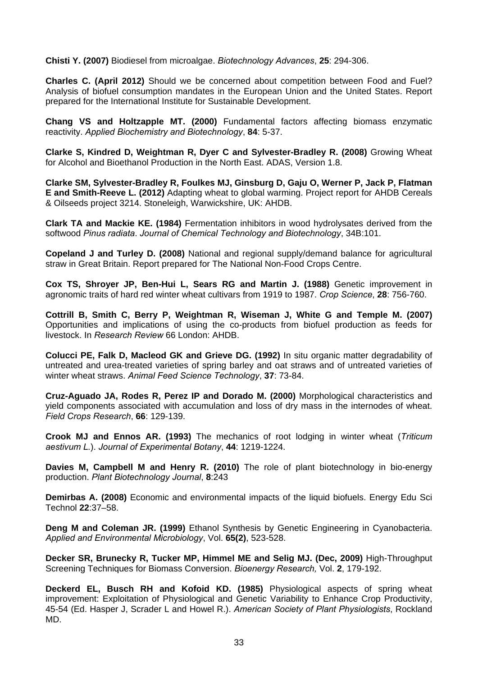**Chisti Y. (2007)** Biodiesel from microalgae. *Biotechnology Advances*, **25**: 294-306.

**Charles C. (April 2012)** Should we be concerned about competition between Food and Fuel? Analysis of biofuel consumption mandates in the European Union and the United States. Report prepared for the International Institute for Sustainable Development.

**Chang VS and Holtzapple MT. (2000)** Fundamental factors affecting biomass enzymatic reactivity. *Applied Biochemistry and Biotechnology*, **84**: 5-37.

**Clarke S, Kindred D, Weightman R, Dyer C and Sylvester-Bradley R. (2008)** Growing Wheat for Alcohol and Bioethanol Production in the North East. ADAS, Version 1.8.

**Clarke SM, Sylvester-Bradley R, Foulkes MJ, Ginsburg D, Gaju O, Werner P, Jack P, Flatman E and Smith-Reeve L. (2012)** Adapting wheat to global warming. Project report for AHDB Cereals & Oilseeds project 3214. Stoneleigh, Warwickshire, UK: AHDB.

**Clark TA and Mackie KE. (1984)** Fermentation inhibitors in wood hydrolysates derived from the softwood *Pinus radiata*. *Journal of Chemical Technology and Biotechnology*, 34B:101.

**Copeland J and Turley D. (2008)** National and regional supply/demand balance for agricultural straw in Great Britain. Report prepared for The National Non-Food Crops Centre.

**Cox TS, Shroyer JP, Ben-Hui L, Sears RG and Martin J. (1988)** Genetic improvement in agronomic traits of hard red winter wheat cultivars from 1919 to 1987. *Crop Science*, **28**: 756-760.

**Cottrill B, Smith C, Berry P, Weightman R, Wiseman J, White G and Temple M. (2007)**  Opportunities and implications of using the co-products from biofuel production as feeds for livestock. In *Research Review* 66 London: AHDB.

**Colucci PE, Falk D, Macleod GK and Grieve DG. (1992)** In situ organic matter degradability of untreated and urea-treated varieties of spring barley and oat straws and of untreated varieties of winter wheat straws. *Animal Feed Science Technology*, **37**: 73-84.

**Cruz-Aguado JA, Rodes R, Perez IP and Dorado M. (2000)** Morphological characteristics and yield components associated with accumulation and loss of dry mass in the internodes of wheat. *Field Crops Research*, **66**: 129-139.

**Crook MJ and Ennos AR. (1993)** The mechanics of root lodging in winter wheat (*Triticum aestivum L.*). *Journal of Experimental Botany*, **44**: 1219-1224.

**Davies M, Campbell M and Henry R. (2010)** The role of plant biotechnology in bio-energy production. *Plant Biotechnology Journal*, **8**:243

**Demirbas A. (2008)** Economic and environmental impacts of the liquid biofuels. Energy Edu Sci Technol **22**:37–58.

**Deng M and Coleman JR. (1999)** Ethanol Synthesis by Genetic Engineering in Cyanobacteria. *Applied and Environmental Microbiology*, Vol. **65(2)**, 523-528.

**Decker SR, Brunecky R, Tucker MP, Himmel ME and Selig MJ. (Dec, 2009)** High-Throughput Screening Techniques for Biomass Conversion. *Bioenergy Research,* Vol. **2**, 179-192.

**Deckerd EL, Busch RH and Kofoid KD. (1985)** Physiological aspects of spring wheat improvement: Exploitation of Physiological and Genetic Variability to Enhance Crop Productivity, 45-54 (Ed. Hasper J, Scrader L and Howel R.). *American Society of Plant Physiologists*, Rockland MD.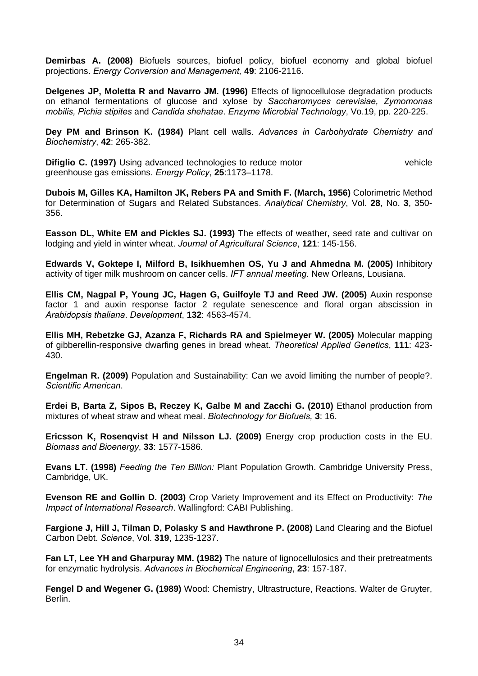**Demirbas A. (2008)** Biofuels sources, biofuel policy, biofuel economy and global biofuel projections. *Energy Conversion and Management,* **49**: 2106-2116.

**Delgenes JP, Moletta R and Navarro JM. (1996)** Effects of lignocellulose degradation products on ethanol fermentations of glucose and xylose by *Saccharomyces cerevisiae, Zymomonas mobilis, Pichia stipites* and *Candida shehatae*. *Enzyme Microbial Technology*, Vo.19, pp. 220-225.

**Dey PM and Brinson K. (1984)** Plant cell walls. *Advances in Carbohydrate Chemistry and Biochemistry*, **42**: 265-382.

**Difiglio C. (1997)** Using advanced technologies to reduce motor vehicle vehicle greenhouse gas emissions. *Energy Policy*, **25**:1173–1178.

**Dubois M, Gilles KA, Hamilton JK, Rebers PA and Smith F. (March, 1956)** Colorimetric Method for Determination of Sugars and Related Substances. *Analytical Chemistry*, Vol. **28**, No. **3**, 350- 356.

**Easson DL, White EM and Pickles SJ. (1993)** The effects of weather, seed rate and cultivar on lodging and yield in winter wheat. *Journal of Agricultural Science*, **121**: 145-156.

**Edwards V, Goktepe I, Milford B, Isikhuemhen OS, Yu J and Ahmedna M. (2005)** Inhibitory activity of tiger milk mushroom on cancer cells. *IFT annual meeting*. New Orleans, Lousiana.

**Ellis CM, Nagpal P, Young JC, Hagen G, Guilfoyle TJ and Reed JW. (2005)** Auxin response factor 1 and auxin response factor 2 regulate senescence and floral organ abscission in *Arabidopsis thaliana*. *Development*, **132**: 4563-4574.

**Ellis MH, Rebetzke GJ, Azanza F, Richards RA and Spielmeyer W. (2005)** Molecular mapping of gibberellin-responsive dwarfing genes in bread wheat. *Theoretical Applied Genetics*, **111**: 423- 430.

**Engelman R. (2009)** Population and Sustainability: Can we avoid limiting the number of people?. *Scientific American*.

**Erdei B, Barta Z, Sipos B, Reczey K, Galbe M and Zacchi G. (2010)** Ethanol production from mixtures of wheat straw and wheat meal. *Biotechnology for Biofuels,* **3**: 16.

**Ericsson K, Rosenqvist H and Nilsson LJ. (2009)** Energy crop production costs in the EU. *Biomass and Bioenergy*, **33**: 1577-1586.

**Evans LT. (1998)** *Feeding the Ten Billion:* Plant Population Growth. Cambridge University Press, Cambridge, UK.

**Evenson RE and Gollin D. (2003)** Crop Variety Improvement and its Effect on Productivity: *The Impact of International Research*. Wallingford: CABI Publishing.

**Fargione J, Hill J, Tilman D, Polasky S and Hawthrone P. (2008)** Land Clearing and the Biofuel Carbon Debt. *Science*, Vol. **319**, 1235-1237.

**Fan LT, Lee YH and Gharpuray MM. (1982)** The nature of lignocellulosics and their pretreatments for enzymatic hydrolysis. *Advances in Biochemical Engineering*, **23**: 157-187.

**Fengel D and Wegener G. (1989)** Wood: Chemistry, Ultrastructure, Reactions. Walter de Gruyter, Berlin.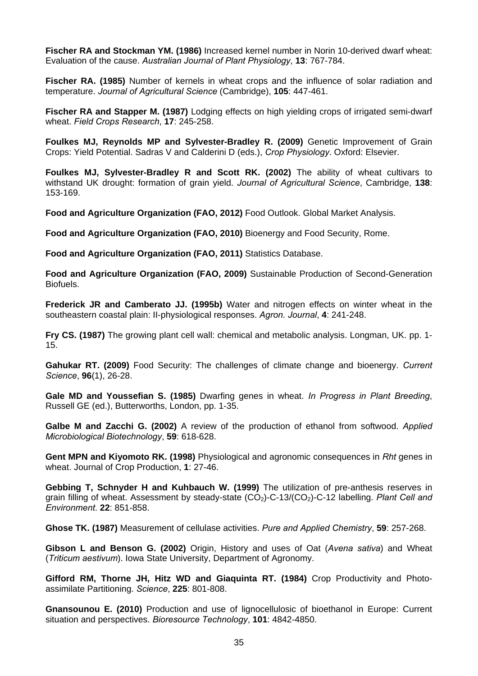**Fischer RA and Stockman YM. (1986)** Increased kernel number in Norin 10-derived dwarf wheat: Evaluation of the cause. *Australian Journal of Plant Physiology*, **13**: 767-784.

**Fischer RA. (1985)** Number of kernels in wheat crops and the influence of solar radiation and temperature. *Journal of Agricultural Science* (Cambridge), **105**: 447-461.

**Fischer RA and Stapper M. (1987)** Lodging effects on high yielding crops of irrigated semi-dwarf wheat. *Field Crops Research*, **17**: 245-258.

**Foulkes MJ, Reynolds MP and Sylvester-Bradley R. (2009)** Genetic Improvement of Grain Crops: Yield Potential. Sadras V and Calderini D (eds.), *Crop Physiology*. Oxford: Elsevier.

**Foulkes MJ, Sylvester-Bradley R and Scott RK. (2002)** The ability of wheat cultivars to withstand UK drought: formation of grain yield. *Journal of Agricultural Science*, Cambridge, **138**: 153-169.

**Food and Agriculture Organization (FAO, 2012)** Food Outlook. Global Market Analysis.

**Food and Agriculture Organization (FAO, 2010)** Bioenergy and Food Security, Rome.

**Food and Agriculture Organization (FAO, 2011)** Statistics Database.

**Food and Agriculture Organization (FAO, 2009)** Sustainable Production of Second-Generation Biofuels.

**Frederick JR and Camberato JJ. (1995b)** Water and nitrogen effects on winter wheat in the southeastern coastal plain: II-physiological responses. *Agron. Journal*, **4**: 241-248.

**Fry CS. (1987)** The growing plant cell wall: chemical and metabolic analysis. Longman, UK. pp. 1- 15.

**Gahukar RT. (2009)** Food Security: The challenges of climate change and bioenergy. *Current Science*, **96**(1), 26-28.

**Gale MD and Youssefian S. (1985)** Dwarfing genes in wheat. *In Progress in Plant Breeding*, Russell GE (ed.), Butterworths, London, pp. 1-35.

**Galbe M and Zacchi G. (2002)** A review of the production of ethanol from softwood. *Applied Microbiological Biotechnology*, **59**: 618-628.

**Gent MPN and Kiyomoto RK. (1998)** Physiological and agronomic consequences in *Rht* genes in wheat. Journal of Crop Production, **1**: 27-46.

**Gebbing T, Schnyder H and Kuhbauch W. (1999)** The utilization of pre-anthesis reserves in grain filling of wheat. Assessment by steady-state (CO2)-C-13/(CO2)-C-12 labelling. *Plant Cell and Environment*. **22**: 851-858.

**Ghose TK. (1987)** Measurement of cellulase activities. *Pure and Applied Chemistry*, **59**: 257-268.

**Gibson L and Benson G. (2002)** Origin, History and uses of Oat (*Avena sativa*) and Wheat (*Triticum aestivum*). Iowa State University, Department of Agronomy.

**Gifford RM, Thorne JH, Hitz WD and Giaquinta RT. (1984)** Crop Productivity and Photoassimilate Partitioning. *Science*, **225**: 801-808.

**Gnansounou E. (2010)** Production and use of lignocellulosic of bioethanol in Europe: Current situation and perspectives. *Bioresource Technology*, **101**: 4842-4850.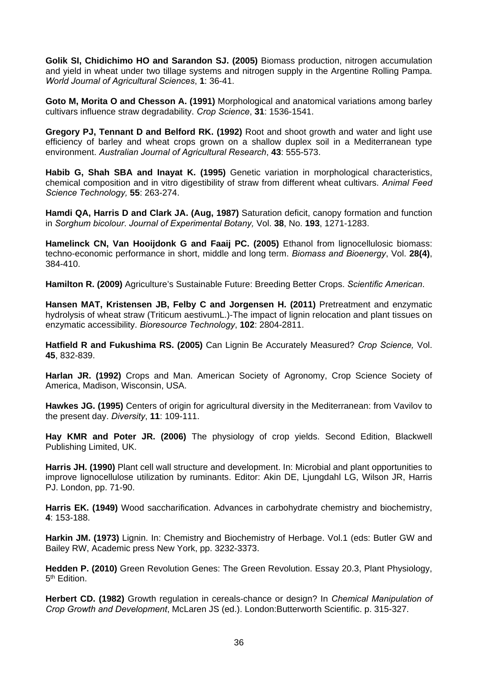**Golik SI, Chidichimo HO and Sarandon SJ. (2005)** Biomass production, nitrogen accumulation and yield in wheat under two tillage systems and nitrogen supply in the Argentine Rolling Pampa. *World Journal of Agricultural Sciences*, **1**: 36-41.

**Goto M, Morita O and Chesson A. (1991)** Morphological and anatomical variations among barley cultivars influence straw degradability. *Crop Science*, **31**: 1536-1541.

**Gregory PJ, Tennant D and Belford RK. (1992)** Root and shoot growth and water and light use efficiency of barley and wheat crops grown on a shallow duplex soil in a Mediterranean type environment. *Australian Journal of Agricultural Research*, **43**: 555-573.

**Habib G, Shah SBA and Inayat K. (1995)** Genetic variation in morphological characteristics, chemical composition and in vitro digestibility of straw from different wheat cultivars. *Animal Feed Science Technology,* **55**: 263-274.

**Hamdi QA, Harris D and Clark JA. (Aug, 1987)** Saturation deficit, canopy formation and function in *Sorghum bicolour*. *Journal of Experimental Botany,* Vol. **38**, No. **193**, 1271-1283.

**Hamelinck CN, Van Hooijdonk G and Faaij PC. (2005)** Ethanol from lignocellulosic biomass: techno-economic performance in short, middle and long term. *Biomass and Bioenergy*, Vol. **28(4)**, 384-410.

**Hamilton R. (2009)** Agriculture's Sustainable Future: Breeding Better Crops. *Scientific American*.

**Hansen MAT, Kristensen JB, Felby C and Jorgensen H. (2011)** Pretreatment and enzymatic hydrolysis of wheat straw (Triticum aestivumL.)-The impact of lignin relocation and plant tissues on enzymatic accessibility. *Bioresource Technology*, **102**: 2804-2811.

**Hatfield R and Fukushima RS. (2005)** Can Lignin Be Accurately Measured? *Crop Science,* Vol. **45**, 832-839.

**Harlan JR. (1992)** Crops and Man. American Society of Agronomy, Crop Science Society of America, Madison, Wisconsin, USA.

**Hawkes JG. (1995)** Centers of origin for agricultural diversity in the Mediterranean: from Vavilov to the present day. *Diversity*, **11**: 109-111.

**Hay KMR and Poter JR. (2006)** The physiology of crop yields. Second Edition, Blackwell Publishing Limited, UK.

**Harris JH. (1990)** Plant cell wall structure and development. In: Microbial and plant opportunities to improve lignocellulose utilization by ruminants. Editor: Akin DE, Ljungdahl LG, Wilson JR, Harris PJ. London, pp. 71-90.

**Harris EK. (1949)** Wood saccharification. Advances in carbohydrate chemistry and biochemistry, **4**: 153-188.

**Harkin JM. (1973)** Lignin. In: Chemistry and Biochemistry of Herbage. Vol.1 (eds: Butler GW and Bailey RW, Academic press New York, pp. 3232-3373.

**Hedden P. (2010)** Green Revolution Genes: The Green Revolution. Essay 20.3, Plant Physiology, 5<sup>th</sup> Edition.

**Herbert CD. (1982)** Growth regulation in cereals-chance or design? In *Chemical Manipulation of Crop Growth and Development*, McLaren JS (ed.). London:Butterworth Scientific. p. 315-327.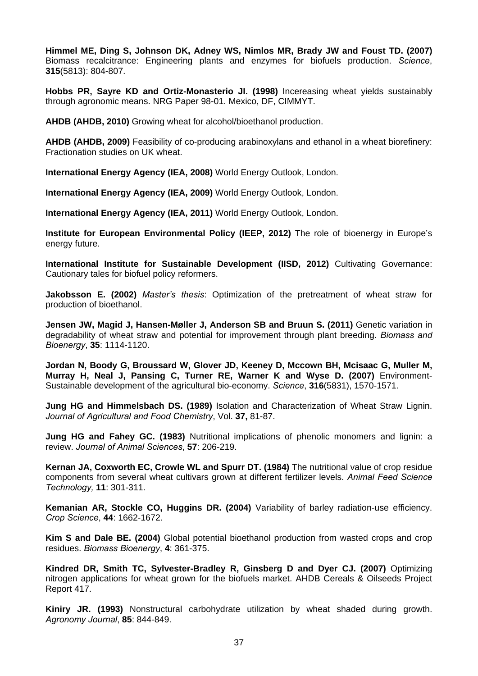**Himmel ME, Ding S, Johnson DK, Adney WS, Nimlos MR, Brady JW and Foust TD. (2007)** Biomass recalcitrance: Engineering plants and enzymes for biofuels production. *Science*, **315**(5813): 804-807.

**Hobbs PR, Sayre KD and Ortiz-Monasterio JI. (1998)** Incereasing wheat yields sustainably through agronomic means. NRG Paper 98-01. Mexico, DF, CIMMYT.

**AHDB (AHDB, 2010)** Growing wheat for alcohol/bioethanol production.

**AHDB (AHDB, 2009)** Feasibility of co-producing arabinoxylans and ethanol in a wheat biorefinery: Fractionation studies on UK wheat.

**International Energy Agency (IEA, 2008)** World Energy Outlook, London.

**International Energy Agency (IEA, 2009)** World Energy Outlook, London.

**International Energy Agency (IEA, 2011)** World Energy Outlook, London.

**Institute for European Environmental Policy (IEEP, 2012)** The role of bioenergy in Europe's energy future.

**International Institute for Sustainable Development (IISD, 2012)** Cultivating Governance: Cautionary tales for biofuel policy reformers.

**Jakobsson E. (2002)** *Master's thesis*: Optimization of the pretreatment of wheat straw for production of bioethanol.

**Jensen JW, Magid J, Hansen-Møller J, Anderson SB and Bruun S. (2011)** Genetic variation in degradability of wheat straw and potential for improvement through plant breeding. *Biomass and Bioenergy*, **35**: 1114-1120.

**Jordan N, Boody G, Broussard W, Glover JD, Keeney D, Mccown BH, Mcisaac G, Muller M, Murray H, Neal J, Pansing C, Turner RE, Warner K and Wyse D. (2007)** Environment-Sustainable development of the agricultural bio-economy. *Science*, **316**(5831), 1570-1571.

**Jung HG and Himmelsbach DS. (1989)** Isolation and Characterization of Wheat Straw Lignin. *Journal of Agricultural and Food Chemistry*, Vol. **37,** 81-87.

**Jung HG and Fahey GC. (1983)** Nutritional implications of phenolic monomers and lignin: a review. *Journal of Animal Sciences*, **57**: 206-219.

**Kernan JA, Coxworth EC, Crowle WL and Spurr DT. (1984)** The nutritional value of crop residue components from several wheat cultivars grown at different fertilizer levels. *Animal Feed Science Technology,* **11**: 301-311.

**Kemanian AR, Stockle CO, Huggins DR. (2004)** Variability of barley radiation-use efficiency. *Crop Science*, **44**: 1662-1672.

**Kim S and Dale BE. (2004)** Global potential bioethanol production from wasted crops and crop residues. *Biomass Bioenergy*, **4**: 361-375.

**Kindred DR, Smith TC, Sylvester-Bradley R, Ginsberg D and Dyer CJ. (2007)** Optimizing nitrogen applications for wheat grown for the biofuels market. AHDB Cereals & Oilseeds Project Report 417.

**Kiniry JR. (1993)** Nonstructural carbohydrate utilization by wheat shaded during growth. *Agronomy Journal*, **85**: 844-849.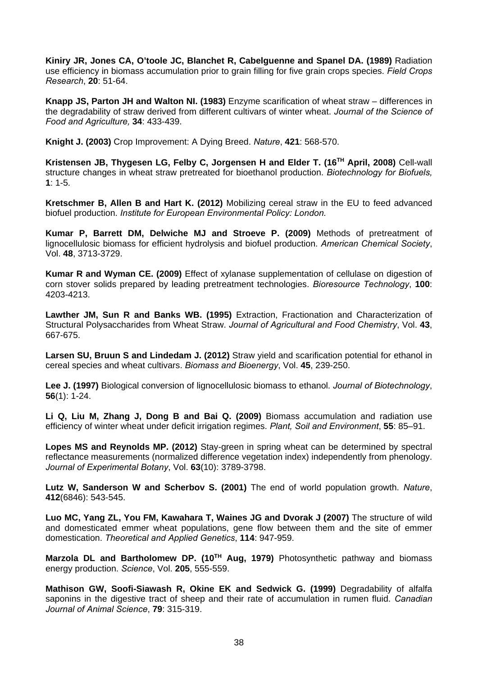**Kiniry JR, Jones CA, O'toole JC, Blanchet R, Cabelguenne and Spanel DA. (1989)** Radiation use efficiency in biomass accumulation prior to grain filling for five grain crops species. *Field Crops Research*, **20**: 51-64.

**Knapp JS, Parton JH and Walton NI. (1983)** Enzyme scarification of wheat straw – differences in the degradability of straw derived from different cultivars of winter wheat. *Journal of the Science of Food and Agriculture,* **34**: 433-439.

**Knight J. (2003)** Crop Improvement: A Dying Breed. *Nature*, **421**: 568-570.

**Kristensen JB, Thygesen LG, Felby C, Jorgensen H and Elder T. (16TH April, 2008)** Cell-wall structure changes in wheat straw pretreated for bioethanol production. *Biotechnology for Biofuels,*  **1**: 1-5*.*

**Kretschmer B, Allen B and Hart K. (2012)** Mobilizing cereal straw in the EU to feed advanced biofuel production. *Institute for European Environmental Policy: London.*

**Kumar P, Barrett DM, Delwiche MJ and Stroeve P. (2009)** Methods of pretreatment of lignocellulosic biomass for efficient hydrolysis and biofuel production. *American Chemical Society*, Vol. **48**, 3713-3729.

**Kumar R and Wyman CE. (2009)** Effect of xylanase supplementation of cellulase on digestion of corn stover solids prepared by leading pretreatment technologies. *Bioresource Technology*, **100**: 4203-4213.

**Lawther JM, Sun R and Banks WB. (1995)** Extraction, Fractionation and Characterization of Structural Polysaccharides from Wheat Straw. *Journal of Agricultural and Food Chemistry*, Vol. **43**, 667-675.

**Larsen SU, Bruun S and Lindedam J. (2012)** Straw yield and scarification potential for ethanol in cereal species and wheat cultivars. *Biomass and Bioenergy*, Vol. **45**, 239-250.

**Lee J. (1997)** Biological conversion of lignocellulosic biomass to ethanol. *Journal of Biotechnology*, **56**(1): 1-24.

**Li Q, Liu M, Zhang J, Dong B and Bai Q. (2009)** Biomass accumulation and radiation use efficiency of winter wheat under deficit irrigation regimes. *Plant, Soil and Environment*, **55**: 85–91.

**Lopes MS and Reynolds MP. (2012)** Stay-green in spring wheat can be determined by spectral reflectance measurements (normalized difference vegetation index) independently from phenology. *Journal of Experimental Botany*, Vol. **63**(10): 3789-3798.

**Lutz W, Sanderson W and Scherbov S. (2001)** The end of world population growth. *Nature*, **412**(6846): 543-545.

**Luo MC, Yang ZL, You FM, Kawahara T, Waines JG and Dvorak J (2007)** The structure of wild and domesticated emmer wheat populations, gene flow between them and the site of emmer domestication. *Theoretical and Applied Genetics*, **114**: 947-959.

**Marzola DL and Bartholomew DP. (10TH Aug, 1979)** Photosynthetic pathway and biomass energy production. *Science*, Vol. **205**, 555-559.

**Mathison GW, Soofi-Siawash R, Okine EK and Sedwick G. (1999)** Degradability of alfalfa saponins in the digestive tract of sheep and their rate of accumulation in rumen fluid. *Canadian Journal of Animal Science*, **79**: 315-319.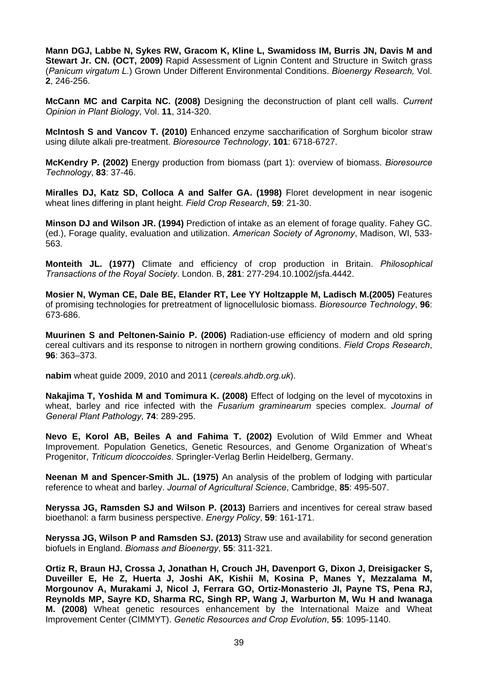**Mann DGJ, Labbe N, Sykes RW, Gracom K, Kline L, Swamidoss IM, Burris JN, Davis M and Stewart Jr. CN. (OCT, 2009)** Rapid Assessment of Lignin Content and Structure in Switch grass (*Panicum virgatum L.*) Grown Under Different Environmental Conditions. *Bioenergy Research,* Vol. **2**, 246-256.

**McCann MC and Carpita NC. (2008)** Designing the deconstruction of plant cell walls. *Current Opinion in Plant Biology*, Vol. **11**, 314-320.

**McIntosh S and Vancov T. (2010)** Enhanced enzyme saccharification of Sorghum bicolor straw using dilute alkali pre-treatment. *Bioresource Technology*, **101**: 6718-6727.

**McKendry P. (2002)** Energy production from biomass (part 1): overview of biomass. *Bioresource Technology*, **83**: 37-46.

**Miralles DJ, Katz SD, Colloca A and Salfer GA. (1998)** Floret development in near isogenic wheat lines differing in plant height. *Field Crop Research*, **59**: 21-30.

**Minson DJ and Wilson JR. (1994)** Prediction of intake as an element of forage quality. Fahey GC. (ed.), Forage quality, evaluation and utilization. *American Society of Agronomy*, Madison, WI, 533- 563.

**Monteith JL. (1977)** Climate and efficiency of crop production in Britain. *Philosophical Transactions of the Royal Society*. London. B, **281**: 277-294.10.1002/jsfa.4442.

**Mosier N, Wyman CE, Dale BE, Elander RT, Lee YY Holtzapple M, Ladisch M.(2005)** Features of promising technologies for pretreatment of lignocellulosic biomass. *Bioresource Technology*, **96**: 673-686.

**Muurinen S and Peltonen-Sainio P. (2006)** Radiation-use efficiency of modern and old spring cereal cultivars and its response to nitrogen in northern growing conditions. *Field Crops Research*, **96**: 363–373.

**nabim** wheat guide 2009, 2010 and 2011 (*cereals.ahdb.org.uk*).

**Nakajima T, Yoshida M and Tomimura K. (2008)** Effect of lodging on the level of mycotoxins in wheat, barley and rice infected with the *Fusarium graminearum* species complex. *Journal of General Plant Pathology*, **74**: 289-295.

**Nevo E, Korol AB, Beiles A and Fahima T. (2002)** Evolution of Wild Emmer and Wheat Improvement. Population Genetics, Genetic Resources, and Genome Organization of Wheat's Progenitor, *Triticum dicoccoides*. Springler-Verlag Berlin Heidelberg, Germany.

**Neenan M and Spencer-Smith JL. (1975)** An analysis of the problem of lodging with particular reference to wheat and barley. *Journal of Agricultural Science*, Cambridge, **85**: 495-507.

**Neryssa JG, Ramsden SJ and Wilson P. (2013)** Barriers and incentives for cereal straw based bioethanol: a farm business perspective. *Energy Policy*, **59**: 161-171.

**Neryssa JG, Wilson P and Ramsden SJ. (2013)** Straw use and availability for second generation biofuels in England. *Biomass and Bioenergy*, **55**: 311-321.

**Ortiz R, Braun HJ, Crossa J, Jonathan H, Crouch JH, Davenport G, Dixon J, Dreisigacker S, Duveiller E, He Z, Huerta J, Joshi AK, Kishii M, Kosina P, Manes Y, Mezzalama M, Morgounov A, Murakami J, Nicol J, Ferrara GO, Ortiz-Monasterio JI, Payne TS, Pena RJ, Reynolds MP, Sayre KD, Sharma RC, Singh RP, Wang J, Warburton M, Wu H and Iwanaga M. (2008)** Wheat genetic resources enhancement by the International Maize and Wheat Improvement Center (CIMMYT). *Genetic Resources and Crop Evolution*, **55**: 1095-1140.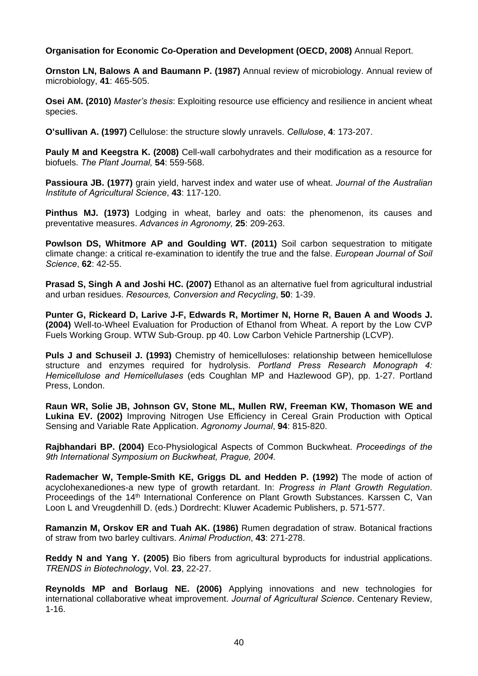## **Organisation for Economic Co-Operation and Development (OECD, 2008)** Annual Report.

**Ornston LN, Balows A and Baumann P. (1987)** Annual review of microbiology. Annual review of microbiology, **41**: 465-505.

**Osei AM. (2010)** *Master's thesis*: Exploiting resource use efficiency and resilience in ancient wheat species.

**O'sullivan A. (1997)** Cellulose: the structure slowly unravels. *Cellulose*, **4**: 173-207.

**Pauly M and Keegstra K. (2008)** Cell-wall carbohydrates and their modification as a resource for biofuels. *The Plant Journal,* **54**: 559-568.

**Passioura JB. (1977)** grain yield, harvest index and water use of wheat. *Journal of the Australian Institute of Agricultural Science*, **43**: 117-120.

**Pinthus MJ. (1973)** Lodging in wheat, barley and oats: the phenomenon, its causes and preventative measures. *Advances in Agronomy,* **25**: 209-263.

**Powlson DS, Whitmore AP and Goulding WT. (2011)** Soil carbon sequestration to mitigate climate change: a critical re-examination to identify the true and the false. *European Journal of Soil Science*, **62**: 42-55.

**Prasad S, Singh A and Joshi HC. (2007)** Ethanol as an alternative fuel from agricultural industrial and urban residues. *Resources, Conversion and Recycling*, **50**: 1-39.

**Punter G, Rickeard D, Larive J-F, Edwards R, Mortimer N, Horne R, Bauen A and Woods J. (2004)** Well-to-Wheel Evaluation for Production of Ethanol from Wheat. A report by the Low CVP Fuels Working Group. WTW Sub-Group. pp 40. Low Carbon Vehicle Partnership (LCVP).

**Puls J and Schuseil J. (1993)** Chemistry of hemicelluloses: relationship between hemicellulose structure and enzymes required for hydrolysis. *Portland Press Research Monograph 4: Hemicellulose and Hemicellulases* (eds Coughlan MP and Hazlewood GP), pp. 1-27. Portland Press, London.

**Raun WR, Solie JB, Johnson GV, Stone ML, Mullen RW, Freeman KW, Thomason WE and Lukina EV. (2002)** Improving Nitrogen Use Efficiency in Cereal Grain Production with Optical Sensing and Variable Rate Application. *Agronomy Journal*, **94**: 815-820.

**Rajbhandari BP. (2004)** Eco-Physiological Aspects of Common Buckwheat. *Proceedings of the 9th International Symposium on Buckwheat, Prague, 2004.* 

**Rademacher W, Temple-Smith KE, Griggs DL and Hedden P. (1992)** The mode of action of acyclohexanediones-a new type of growth retardant. In: *Progress in Plant Growth Regulation*. Proceedings of the 14th International Conference on Plant Growth Substances. Karssen C, Van Loon L and Vreugdenhill D. (eds.) Dordrecht: Kluwer Academic Publishers, p. 571-577.

**Ramanzin M, Orskov ER and Tuah AK. (1986)** Rumen degradation of straw. Botanical fractions of straw from two barley cultivars. *Animal Production*, **43**: 271-278.

**Reddy N and Yang Y. (2005)** Bio fibers from agricultural byproducts for industrial applications. *TRENDS in Biotechnology*, Vol. **23**, 22-27.

**Reynolds MP and Borlaug NE. (2006)** Applying innovations and new technologies for international collaborative wheat improvement. *Journal of Agricultural Science*. Centenary Review, 1-16.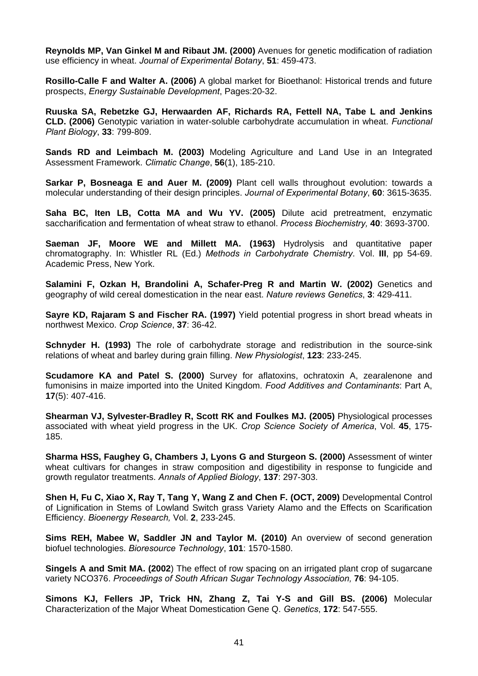**Reynolds MP, Van Ginkel M and Ribaut JM. (2000)** Avenues for genetic modification of radiation use efficiency in wheat. *Journal of Experimental Botany*, **51**: 459-473.

**Rosillo-Calle F and Walter A. (2006)** A global market for Bioethanol: Historical trends and future prospects, *Energy Sustainable Development*, Pages:20-32.

**Ruuska SA, Rebetzke GJ, Herwaarden AF, Richards RA, Fettell NA, Tabe L and Jenkins CLD. (2006)** Genotypic variation in water-soluble carbohydrate accumulation in wheat. *Functional Plant Biology*, **33**: 799-809.

**Sands RD and Leimbach M. (2003)** Modeling Agriculture and Land Use in an Integrated Assessment Framework. *Climatic Change*, **56**(1), 185-210.

**Sarkar P, Bosneaga E and Auer M. (2009)** Plant cell walls throughout evolution: towards a molecular understanding of their design principles. *Journal of Experimental Botany*, **60**: 3615-3635.

**Saha BC, Iten LB, Cotta MA and Wu YV. (2005)** Dilute acid pretreatment, enzymatic saccharification and fermentation of wheat straw to ethanol. *Process Biochemistry,* **40**: 3693-3700.

**Saeman JF, Moore WE and Millett MA. (1963)** Hydrolysis and quantitative paper chromatography. In: Whistler RL (Ed.) *Methods in Carbohydrate Chemistry*. Vol. **III**, pp 54-69. Academic Press, New York.

**Salamini F, Ozkan H, Brandolini A, Schafer-Preg R and Martin W. (2002)** Genetics and geography of wild cereal domestication in the near east. *Nature reviews Genetics*, **3**: 429-411.

**Sayre KD, Rajaram S and Fischer RA. (1997)** Yield potential progress in short bread wheats in northwest Mexico. *Crop Science*, **37**: 36-42.

**Schnyder H. (1993)** The role of carbohydrate storage and redistribution in the source-sink relations of wheat and barley during grain filling. *New Physiologist*, **123**: 233-245.

**Scudamore KA and Patel S. (2000)** Survey for aflatoxins, ochratoxin A, zearalenone and fumonisins in maize imported into the United Kingdom. *Food Additives and Contaminants*: Part A, **17**(5): 407-416.

**Shearman VJ, Sylvester-Bradley R, Scott RK and Foulkes MJ. (2005)** Physiological processes associated with wheat yield progress in the UK. *Crop Science Society of America*, Vol. **45**, 175- 185.

**Sharma HSS, Faughey G, Chambers J, Lyons G and Sturgeon S. (2000)** Assessment of winter wheat cultivars for changes in straw composition and digestibility in response to fungicide and growth regulator treatments. *Annals of Applied Biology*, **137**: 297-303.

**Shen H, Fu C, Xiao X, Ray T, Tang Y, Wang Z and Chen F. (OCT, 2009)** Developmental Control of Lignification in Stems of Lowland Switch grass Variety Alamo and the Effects on Scarification Efficiency. *Bioenergy Research,* Vol. **2**, 233-245.

**Sims REH, Mabee W, Saddler JN and Taylor M. (2010)** An overview of second generation biofuel technologies. *Bioresource Technology*, **101**: 1570-1580.

**Singels A and Smit MA. (2002**) The effect of row spacing on an irrigated plant crop of sugarcane variety NCO376. *Proceedings of South African Sugar Technology Association,* **76**: 94-105.

**Simons KJ, Fellers JP, Trick HN, Zhang Z, Tai Y-S and Gill BS. (2006)** Molecular Characterization of the Major Wheat Domestication Gene Q. *Genetics*, **172**: 547-555.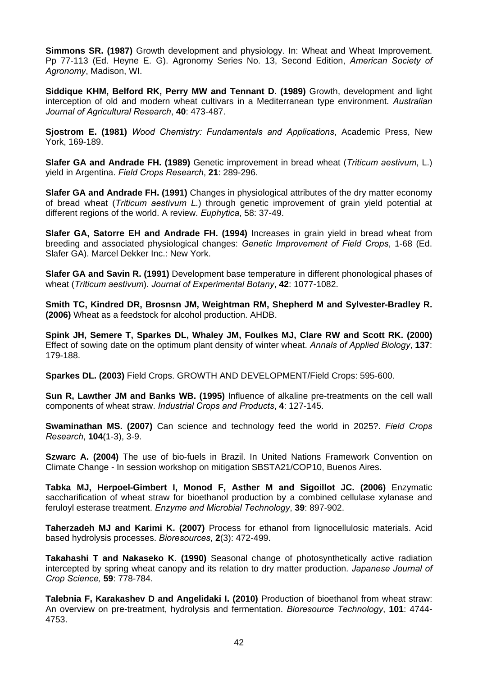**Simmons SR. (1987)** Growth development and physiology. In: Wheat and Wheat Improvement. Pp 77-113 (Ed. Heyne E. G). Agronomy Series No. 13, Second Edition, *American Society of Agronomy*, Madison, WI.

**Siddique KHM, Belford RK, Perry MW and Tennant D. (1989)** Growth, development and light interception of old and modern wheat cultivars in a Mediterranean type environment. *Australian Journal of Agricultural Research*, **40**: 473-487.

**Sjostrom E. (1981)** *Wood Chemistry: Fundamentals and Applications*, Academic Press, New York, 169-189.

**Slafer GA and Andrade FH. (1989)** Genetic improvement in bread wheat (*Triticum aestivum*, L.) yield in Argentina. *Field Crops Research*, **21**: 289-296.

**Slafer GA and Andrade FH. (1991)** Changes in physiological attributes of the dry matter economy of bread wheat (*Triticum aestivum L.*) through genetic improvement of grain yield potential at different regions of the world. A review. *Euphytica*, 58: 37-49.

**Slafer GA, Satorre EH and Andrade FH. (1994)** Increases in grain yield in bread wheat from breeding and associated physiological changes: *Genetic Improvement of Field Crops*, 1-68 (Ed. Slafer GA). Marcel Dekker Inc.: New York.

**Slafer GA and Savin R. (1991)** Development base temperature in different phonological phases of wheat (*Triticum aestivum*). *Journal of Experimental Botany*, **42**: 1077-1082.

**Smith TC, Kindred DR, Brosnsn JM, Weightman RM, Shepherd M and Sylvester-Bradley R. (2006)** Wheat as a feedstock for alcohol production. AHDB.

**Spink JH, Semere T, Sparkes DL, Whaley JM, Foulkes MJ, Clare RW and Scott RK. (2000)**  Effect of sowing date on the optimum plant density of winter wheat. *Annals of Applied Biology*, **137**: 179-188.

**Sparkes DL. (2003)** Field Crops. GROWTH AND DEVELOPMENT/Field Crops: 595-600.

**Sun R, Lawther JM and Banks WB. (1995)** Influence of alkaline pre-treatments on the cell wall components of wheat straw. *Industrial Crops and Products*, **4**: 127-145.

**Swaminathan MS. (2007)** Can science and technology feed the world in 2025?. *Field Crops Research*, **104**(1-3), 3-9.

**Szwarc A. (2004)** The use of bio-fuels in Brazil. In United Nations Framework Convention on Climate Change - In session workshop on mitigation SBSTA21/COP10, Buenos Aires.

**Tabka MJ, Herpoel-Gimbert I, Monod F, Asther M and Sigoillot JC. (2006)** Enzymatic saccharification of wheat straw for bioethanol production by a combined cellulase xylanase and feruloyl esterase treatment. *Enzyme and Microbial Technology*, **39**: 897-902.

**Taherzadeh MJ and Karimi K. (2007)** Process for ethanol from lignocellulosic materials. Acid based hydrolysis processes. *Bioresources*, **2**(3): 472-499.

**Takahashi T and Nakaseko K. (1990)** Seasonal change of photosynthetically active radiation intercepted by spring wheat canopy and its relation to dry matter production*. Japanese Journal of Crop Science,* **59**: 778-784.

**Talebnia F, Karakashev D and Angelidaki I. (2010)** Production of bioethanol from wheat straw: An overview on pre-treatment, hydrolysis and fermentation. *Bioresource Technology*, **101**: 4744- 4753.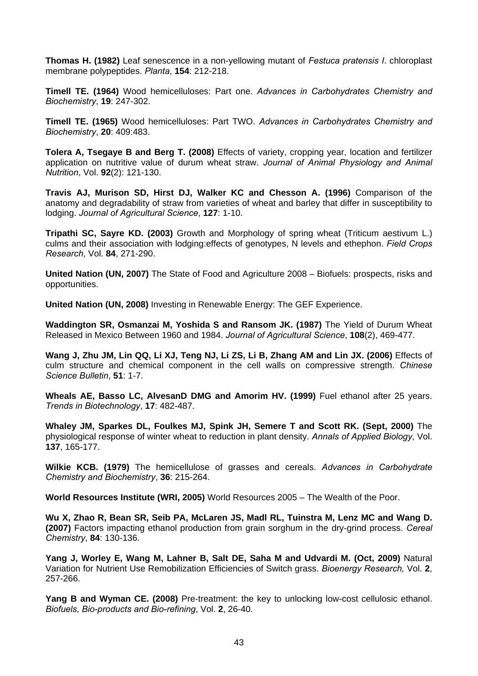**Thomas H. (1982)** Leaf senescence in a non-yellowing mutant of *Festuca pratensis I*. chloroplast membrane polypeptides. *Planta*, **154**: 212-218.

**Timell TE. (1964)** Wood hemicelluloses: Part one. *Advances in Carbohydrates Chemistry and Biochemistry*, **19**: 247-302.

**Timell TE. (1965)** Wood hemicelluloses: Part TWO. *Advances in Carbohydrates Chemistry and Biochemistry*, **20**: 409:483.

**Tolera A, Tsegaye B and Berg T. (2008)** Effects of variety, cropping year, location and fertilizer application on nutritive value of durum wheat straw. *Journal of Animal Physiology and Animal Nutrition*, Vol. **92**(2): 121-130.

**Travis AJ, Murison SD, Hirst DJ, Walker KC and Chesson A. (1996)** Comparison of the anatomy and degradability of straw from varieties of wheat and barley that differ in susceptibility to lodging. *Journal of Agricultural Science*, **127**: 1-10.

**Tripathi SC, Sayre KD. (2003)** Growth and Morphology of spring wheat (Triticum aestivum L.) culms and their association with lodging:effects of genotypes, N levels and ethephon. *Field Crops Research*, Vol. **84**, 271-290.

**United Nation (UN, 2007)** The State of Food and Agriculture 2008 – Biofuels: prospects, risks and opportunities.

**United Nation (UN, 2008)** Investing in Renewable Energy: The GEF Experience.

**Waddington SR, Osmanzai M, Yoshida S and Ransom JK. (1987)** The Yield of Durum Wheat Released in Mexico Between 1960 and 1984. *Journal of Agricultural Science*, **108**(2), 469-477.

**Wang J, Zhu JM, Lin QQ, Li XJ, Teng NJ, Li ZS, Li B, Zhang AM and Lin JX. (2006)** Effects of culm structure and chemical component in the cell walls on compressive strength. *Chinese Science Bulletin*, **51**: 1-7.

**Wheals AE, Basso LC, AlvesanD DMG and Amorim HV. (1999)** Fuel ethanol after 25 years. *Trends in Biotechnology*, **17**: 482-487.

**Whaley JM, Sparkes DL, Foulkes MJ, Spink JH, Semere T and Scott RK. (Sept, 2000)** The physiological response of winter wheat to reduction in plant density. *Annals of Applied Biology*, Vol. **137**, 165-177.

**Wilkie KCB. (1979)** The hemicellulose of grasses and cereals. *Advances in Carbohydrate Chemistry and Biochemistry*, **36**: 215-264.

**World Resources Institute (WRI, 2005)** World Resources 2005 – The Wealth of the Poor.

**Wu X, Zhao R, Bean SR, Seib PA, McLaren JS, Madl RL, Tuinstra M, Lenz MC and Wang D. (2007)** Factors impacting ethanol production from grain sorghum in the dry-grind process. *Cereal Chemistry*, **84**: 130-136.

**Yang J, Worley E, Wang M, Lahner B, Salt DE, Saha M and Udvardi M. (Oct, 2009)** Natural Variation for Nutrient Use Remobilization Efficiencies of Switch grass. *Bioenergy Research,* Vol. **2**, 257-266.

**Yang B and Wyman CE. (2008)** Pre-treatment: the key to unlocking low-cost cellulosic ethanol. *Biofuels, Bio-products and Bio-refining*, Vol. **2**, 26-40.